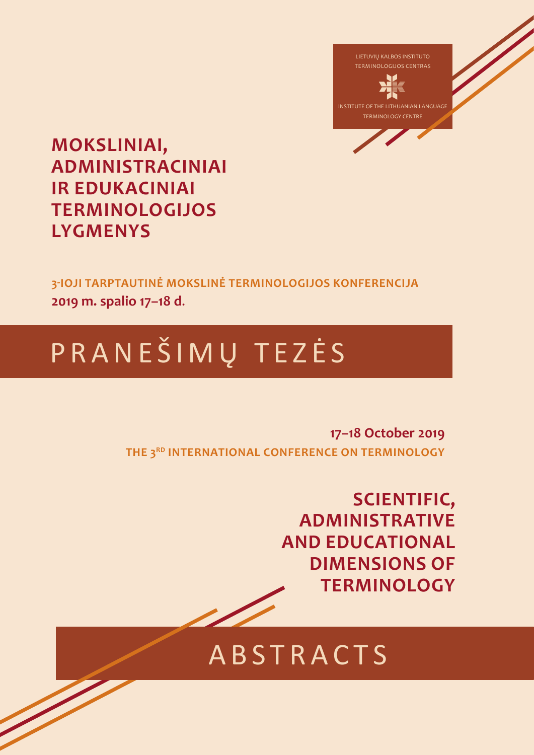

**MOKSLINIAI, ADMINISTRACINIAI IR EDUKACINIAI TERMINOLOGIJOS LYGMENYS**

**3-IOJI TARPTAUTINĖ MOKSLINĖ TERMINOLOGIJOS KONFERENCIJA 2019 m. spalio 17–18 d**.

# P R A N E Š I M Ų T E Z Ė S

**17–18 October 2019 THE 3RD INTERNATIONAL CONFERENCE ON TERMINOLOGY**

> **SCIENTIFIC, ADMINISTRATIVE AND EDUCATIONAL DIMENSIONS OF TERMINOLOGY**

## **ABSTRACTS**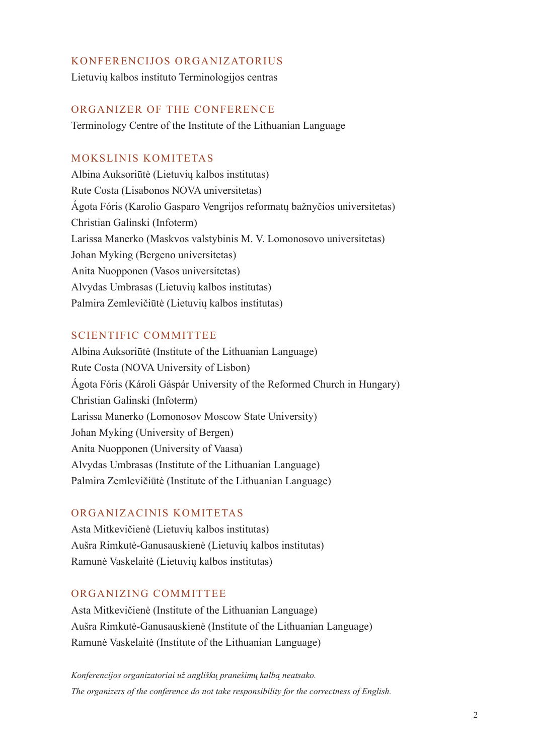#### KONFERENCIJOS ORGANIZATORIUS

Lietuvių kalbos instituto Terminologijos centras

#### ORGANIZER OF THE CONFERENCE

Terminology Centre of the Institute of the Lithuanian Language

#### MOKSLINIS KOMITETAS

Albina Auksoriūtė (Lietuvių kalbos institutas) Rute Costa (Lisabonos NOVA universitetas) Ágota Fóris (Karolio Gasparo Vengrijos reformatų bažnyčios universitetas) Christian Galinski (Infoterm) Larissa Manerko (Maskvos valstybinis M. V. Lomonosovo universitetas) Johan Myking (Bergeno universitetas) Anita Nuopponen (Vasos universitetas) Alvydas Umbrasas (Lietuvių kalbos institutas) Palmira Zemlevičiūtė (Lietuvių kalbos institutas)

#### SCIENTIFIC COMMITTEE

Albina Auksoriūtė (Institute of the Lithuanian Language) Rute Costa (NOVA University of Lisbon) Ágota Fóris (Károli Gáspár University of the Reformed Church in Hungary) Christian Galinski (Infoterm) Larissa Manerko (Lomonosov Moscow State University) Johan Myking (University of Bergen) Anita Nuopponen (University of Vaasa) Alvydas Umbrasas (Institute of the Lithuanian Language) Palmira Zemlevičiūtė (Institute of the Lithuanian Language)

#### ORGANIZACINIS KOMITETAS

Asta Mitkevičienė (Lietuvių kalbos institutas) Aušra Rimkutė-Ganusauskienė (Lietuvių kalbos institutas) Ramunė Vaskelaitė (Lietuvių kalbos institutas)

#### ORGANIZING COMMITTEE

Asta Mitkevičienė (Institute of the Lithuanian Language) Aušra Rimkutė-Ganusauskienė (Institute of the Lithuanian Language) Ramunė Vaskelaitė (Institute of the Lithuanian Language)

*Konferencijos organizatoriai už angliškų pranešimų kalbą neatsako. The organizers of the conference do not take responsibility for the correctness of English.*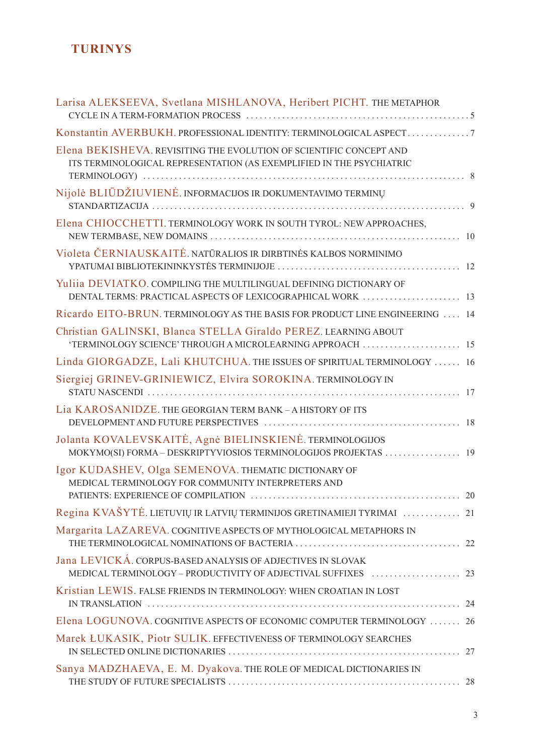## **TURINYS**

| Larisa ALEKSEEVA, Svetlana MISHLANOVA, Heribert PICHT. THE METAPHOR                                                                               |    |
|---------------------------------------------------------------------------------------------------------------------------------------------------|----|
| Konstantin AVERBUKH. PROFESSIONAL IDENTITY: TERMINOLOGICAL ASPECT7                                                                                |    |
| Elena BEKISHEVA. REVISITING THE EVOLUTION OF SCIENTIFIC CONCEPT AND<br>ITS TERMINOLOGICAL REPRESENTATION (AS EXEMPLIFIED IN THE PSYCHIATRIC       |    |
| Nijolė BLIŪDŽIUVIENĖ. INFORMACIJOS IR DOKUMENTAVIMO TERMINŲ                                                                                       |    |
| Elena CHIOCCHETTI. TERMINOLOGY WORK IN SOUTH TYROL: NEW APPROACHES,                                                                               |    |
| Violeta ČERNIAUSKAITĖ. NATŪRALIOS IR DIRBTINĖS KALBOS NORMINIMO                                                                                   |    |
| Yuliia DEVIATKO. COMPILING THE MULTILINGUAL DEFINING DICTIONARY OF                                                                                |    |
| Ricardo EITO-BRUN. TERMINOLOGY AS THE BASIS FOR PRODUCT LINE ENGINEERING  14                                                                      |    |
| Christian GALINSKI, Blanca STELLA Giraldo PEREZ. LEARNING ABOUT                                                                                   |    |
| Linda GIORGADZE, Lali KHUTCHUA. THE ISSUES OF SPIRITUAL TERMINOLOGY  16                                                                           |    |
| Siergiej GRINEV-GRINIEWICZ, Elvira SOROKINA. TERMINOLOGY IN                                                                                       |    |
| Lia KAROSANIDZE. THE GEORGIAN TERM BANK - A HISTORY OF ITS                                                                                        |    |
| Jolanta KOVALEVSKAITĖ, Agnė BIELINSKIENĖ. TERMINOLOGIJOS<br>MOKYMO(SI) FORMA - DESKRIPTYVIOSIOS TERMINOLOGIJOS PROJEKTAS  19                      |    |
| Igor KUDASHEV, Olga SEMENOVA. THEMATIC DICTIONARY OF<br>MEDICAL TERMINOLOGY FOR COMMUNITY INTERPRETERS AND<br>PATIENTS: EXPERIENCE OF COMPILATION | 20 |
| Regina KVAŠYTĖ. LIETUVIŲ IR LATVIŲ TERMINIJOS GRETINAMIEJI TYRIMAI  21                                                                            |    |
| Margarita LAZAREVA. COGNITIVE ASPECTS OF MYTHOLOGICAL METAPHORS IN                                                                                |    |
| Jana LEVICKÁ. CORPUS-BASED ANALYSIS OF ADJECTIVES IN SLOVAK                                                                                       |    |
| Kristian LEWIS. FALSE FRIENDS IN TERMINOLOGY: WHEN CROATIAN IN LOST                                                                               |    |
| Elena LOGUNOVA. COGNITIVE ASPECTS OF ECONOMIC COMPUTER TERMINOLOGY  26                                                                            |    |
| Marek ŁUKASIK, Piotr SULIK. EFFECTIVENESS OF TERMINOLOGY SEARCHES                                                                                 |    |
| Sanya MADZHAEVA, E. M. Dyakova. THE ROLE OF MEDICAL DICTIONARIES IN                                                                               |    |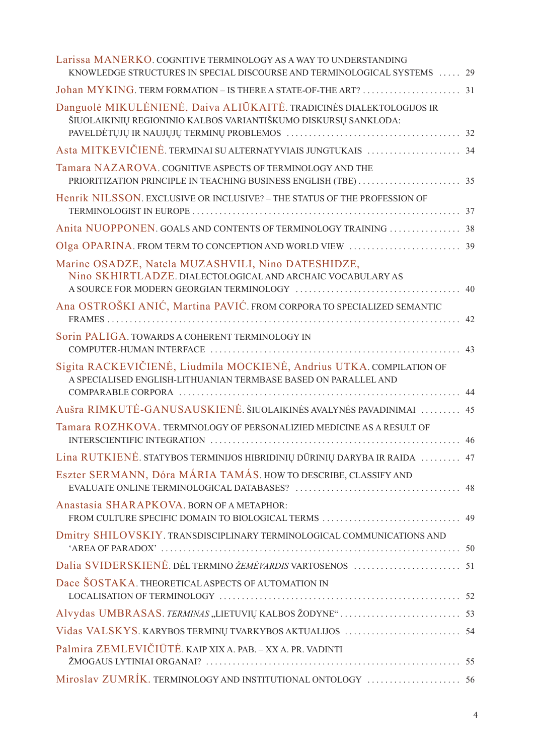| Larissa MANERKO. COGNITIVE TERMINOLOGY AS A WAY TO UNDERSTANDING<br>KNOWLEDGE STRUCTURES IN SPECIAL DISCOURSE AND TERMINOLOGICAL SYSTEMS  29 |    |
|----------------------------------------------------------------------------------------------------------------------------------------------|----|
|                                                                                                                                              |    |
| Danguolė MIKULĖNIENĖ, Daiva ALIŪKAITĖ. TRADICINĖS DIALEKTOLOGIJOS IR<br>ŠIUOLAIKINIŲ REGIONINIO KALBOS VARIANTIŠKUMO DISKURSŲ SANKLODA:      |    |
| Asta MITKEVIČIENĖ. TERMINAI SU ALTERNATYVIAIS JUNGTUKAIS  34                                                                                 |    |
| Tamara NAZAROVA. COGNITIVE ASPECTS OF TERMINOLOGY AND THE                                                                                    |    |
| Henrik NILSSON. EXCLUSIVE OR INCLUSIVE? - THE STATUS OF THE PROFESSION OF                                                                    |    |
| Anita NUOPPONEN. GOALS AND CONTENTS OF TERMINOLOGY TRAINING  38                                                                              |    |
|                                                                                                                                              |    |
| Marine OSADZE, Natela MUZASHVILI, Nino DATESHIDZE,<br>Nino SKHIRTLADZE. DIALECTOLOGICAL AND ARCHAIC VOCABULARY AS                            |    |
| Ana OSTROŠKI ANIĆ, Martina PAVIĆ. FROM CORPORA TO SPECIALIZED SEMANTIC                                                                       | 42 |
| Sorin PALIGA. TOWARDS A COHERENT TERMINOLOGY IN                                                                                              | 43 |
| Sigita RACKEVIČIENĖ, Liudmila MOCKIENĖ, Andrius UTKA. COMPILATION OF<br>A SPECIALISED ENGLISH-LITHUANIAN TERMBASE BASED ON PARALLEL AND      | 44 |
| Aušra RIMKUTĖ-GANUSAUSKIENĖ. ŠIUOLAIKINĖS AVALYNĖS PAVADINIMAI                                                                               | 45 |
| Tamara ROZHKOVA. TERMINOLOGY OF PERSONALIZIED MEDICINE AS A RESULT OF                                                                        | 46 |
| Lina RUTKIENĖ. STATYBOS TERMINIJOS HIBRIDINIŲ DŪRINIŲ DARYBA IR RAIDA  47                                                                    |    |
| Eszter SERMANN, Dóra MÁRIA TAMÁS. HOW TO DESCRIBE, CLASSIFY AND                                                                              |    |
| Anastasia SHARAPKOVA, BORN OF A METAPHOR:                                                                                                    |    |
| Dmitry SHILOVSKIY. TRANSDISCIPLINARY TERMINOLOGICAL COMMUNICATIONS AND                                                                       |    |
|                                                                                                                                              |    |
| Dace ŠOSTAKA. THEORETICAL ASPECTS OF AUTOMATION IN                                                                                           |    |
|                                                                                                                                              |    |
|                                                                                                                                              |    |
| Palmira ZEMLEVIČIŪTĖ. KAIP XIX A. PAB. - XX A. PR. VADINTI                                                                                   |    |
|                                                                                                                                              |    |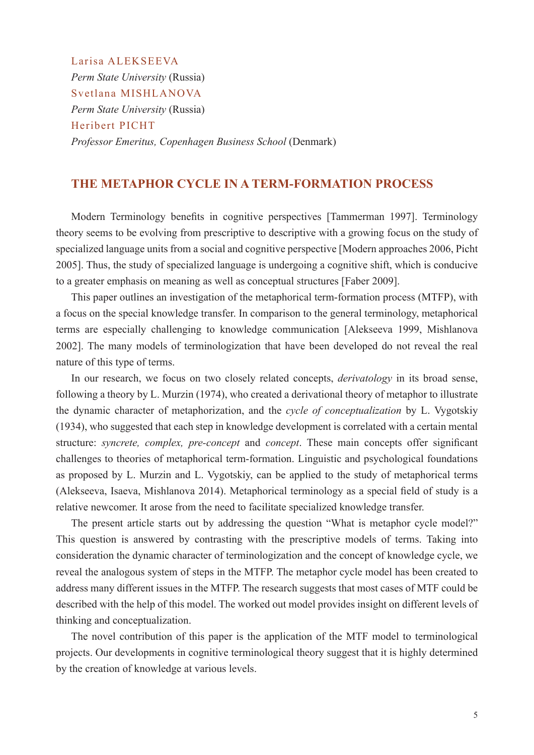Larisa ALEKSEEVA *Perm State University* (Russia) Svetlana MISHLANOVA *Perm State University* (Russia) Heribert PICHT *Professor Emeritus, Copenhagen Business School* (Denmark)

#### **THE METAPHOR CYCLE IN A TERM-FORMATION PROCESS**

Modern Terminology benefits in cognitive perspectives [Tammerman 1997]. Terminology theory seems to be evolving from prescriptive to descriptive with a growing focus on the study of specialized language units from a social and cognitive perspective [Modern approaches 2006, Picht 2005]. Thus, the study of specialized language is undergoing a cognitive shift, which is conducive to a greater emphasis on meaning as well as conceptual structures [Faber 2009].

This paper outlines an investigation of the metaphorical term-formation process (MTFP), with a focus on the special knowledge transfer. In comparison to the general terminology, metaphorical terms are especially challenging to knowledge communication [Alekseeva 1999, Mishlanova 2002]. The many models of terminologization that have been developed do not reveal the real nature of this type of terms.

In our research, we focus on two closely related concepts, *derivatology* in its broad sense, following a theory by L. Murzin (1974), who created a derivational theory of metaphor to illustrate the dynamic character of metaphorization, and the *cycle of conceptualization* by L. Vygotskiy (1934), who suggested that each step in knowledge development is correlated with a certain mental structure: *syncrete, complex, pre-concept* and *concept*. These main concepts offer significant challenges to theories of metaphorical term-formation. Linguistic and psychological foundations as proposed by L. Murzin and L. Vygotskiy, can be applied to the study of metaphorical terms (Alekseeva, Isaeva, Mishlanova 2014). Metaphorical terminology as a special field of study is a relative newcomer. It arose from the need to facilitate specialized knowledge transfer.

The present article starts out by addressing the question "What is metaphor cycle model?" This question is answered by contrasting with the prescriptive models of terms. Taking into consideration the dynamic character of terminologization and the concept of knowledge cycle, we reveal the analogous system of steps in the MTFP. The metaphor cycle model has been created to address many different issues in the MTFP. The research suggests that most cases of MTF could be described with the help of this model. The worked out model provides insight on different levels of thinking and conceptualization.

The novel contribution of this paper is the application of the MTF model to terminological projects. Our developments in cognitive terminological theory suggest that it is highly determined by the creation of knowledge at various levels.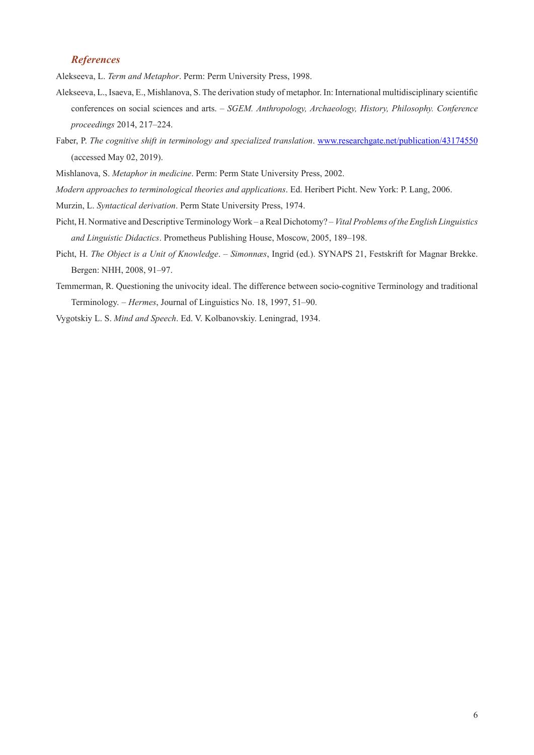#### *References*

Alekseeva, L. *Term and Metaphor*. Perm: Perm University Press, 1998.

- Alekseeva, L., Isaeva, E., Mishlanova, S. The derivation study of metaphor. In: International multidisciplinary scientific conferences on social sciences and arts. – *SGEM. Anthropology, Archaeology, History, Philosophy. Conference proceedings* 2014, 217–224.
- Faber, P. *The cognitive shift in terminology and specialized translation*. www.researchgate.net/publication/43174550 (accessed May 02, 2019).
- Mishlanova, S. *Metaphor in medicine*. Perm: Perm State University Press, 2002.
- *Modern approaches to terminological theories and applications*. Ed. Heribert Picht. New York: P. Lang, 2006.
- Murzin, L. *Syntactical derivation*. Perm State University Press, 1974.
- Picht, H. Normative and Descriptive Terminology Work a Real Dichotomy? *Vital Problems of the English Linguistics and Linguistic Didactics*. Prometheus Publishing House, Moscow, 2005, 189–198.
- Picht, H. *The Object is a Unit of Knowledge*. *Simonnæs*, Ingrid (ed.). SYNAPS 21, Festskrift for Magnar Brekke. Bergen: NHH, 2008, 91–97.
- Temmerman, R. Questioning the univocity ideal. The difference between socio-cognitive Terminology and traditional Terminology. – *Hermes*, Journal of Linguistics No. 18, 1997, 51–90.
- Vygotskiy L. S. *Mind and Speech*. Ed. V. Kolbanovskiy. Leningrad, 1934.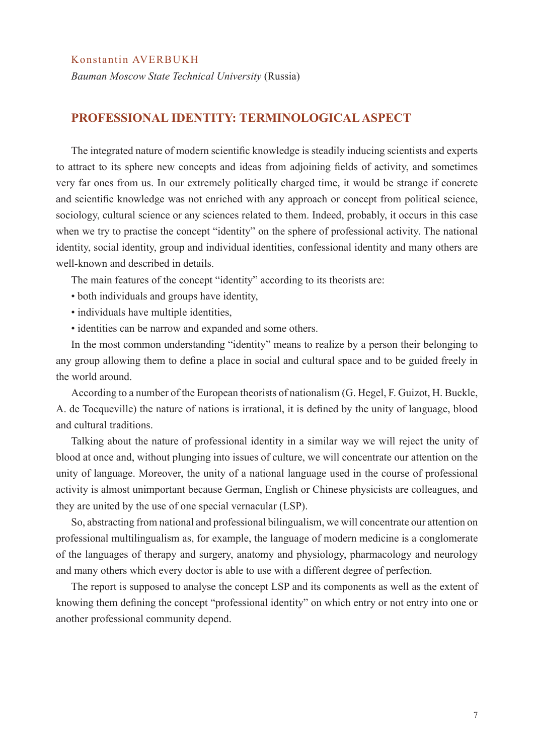#### Konstantin AVERBUKH

*Bauman Moscow State Technical University* (Russia)

#### **PROFESSIONAL IDENTITY: TERMINOLOGICAL ASPECT**

The integrated nature of modern scientific knowledge is steadily inducing scientists and experts to attract to its sphere new concepts and ideas from adjoining fields of activity, and sometimes very far ones from us. In our extremely politically charged time, it would be strange if concrete and scientific knowledge was not enriched with any approach or concept from political science, sociology, cultural science or any sciences related to them. Indeed, probably, it occurs in this case when we try to practise the concept "identity" on the sphere of professional activity. The national identity, social identity, group and individual identities, confessional identity and many others are well-known and described in details.

The main features of the concept "identity" according to its theorists are:

- both individuals and groups have identity,
- individuals have multiple identities,
- identities can be narrow and expanded and some others.

In the most common understanding "identity" means to realize by a person their belonging to any group allowing them to define a place in social and cultural space and to be guided freely in the world around.

According to a number of the European theorists of nationalism (G. Hegel, F. Guizot, H. Buckle, A. de Tocqueville) the nature of nations is irrational, it is defined by the unity of language, blood and cultural traditions.

Talking about the nature of professional identity in a similar way we will reject the unity of blood at once and, without plunging into issues of culture, we will concentrate our attention on the unity of language. Moreover, the unity of a national language used in the course of professional activity is almost unimportant because German, English or Chinese physicists are colleagues, and they are united by the use of one special vernacular (LSP).

So, abstracting from national and professional bilingualism, we will concentrate our attention on professional multilingualism as, for example, the language of modern medicine is a conglomerate of the languages of therapy and surgery, anatomy and physiology, pharmacology and neurology and many others which every doctor is able to use with a different degree of perfection.

The report is supposed to analyse the concept LSP and its components as well as the extent of knowing them defining the concept "professional identity" on which entry or not entry into one or another professional community depend.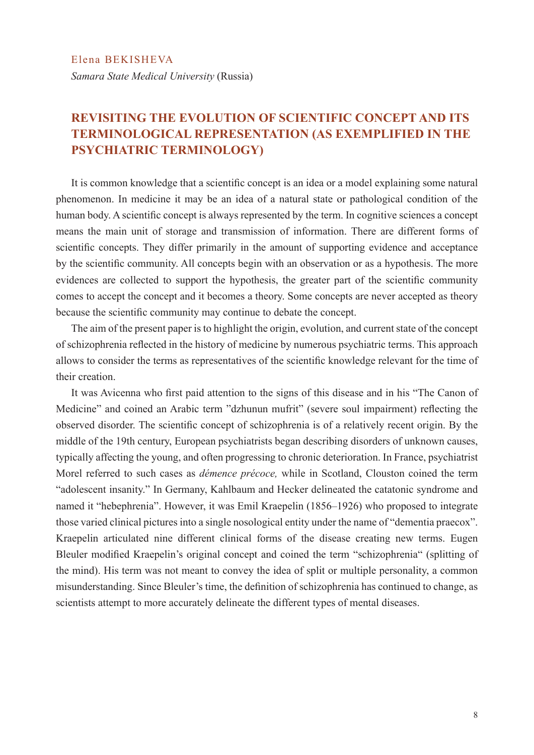## **REVISITING THE EVOLUTION OF SCIENTIFIC CONCEPT AND ITS TERMINOLOGICAL REPRESENTATION (AS EXEMPLIFIED IN THE PSYCHIATRIC TERMINOLOGY)**

It is common knowledge that a scientific concept is an idea or a model explaining some natural phenomenon. In medicine it may be an idea of a natural state or pathological condition of the human body. A scientific concept is always represented by the term. In cognitive sciences a concept means the main unit of storage and transmission of information. There are different forms of scientific concepts. They differ primarily in the amount of supporting evidence and acceptance by the scientific community. All concepts begin with an observation or as a hypothesis. The more evidences are collected to support the hypothesis, the greater part of the scientific community comes to accept the concept and it becomes a theory. Some concepts are never accepted as theory because the scientific community may continue to debate the concept.

The aim of the present paper is to highlight the origin, evolution, and current state of the concept of schizophrenia reflected in the history of medicine by numerous psychiatric terms. This approach allows to consider the terms as representatives of the scientific knowledge relevant for the time of their creation.

It was Avicenna who first paid attention to the signs of this disease and in his "The Canon of Medicine" and coined an Arabic term "dzhunun mufrit" (severe soul impairment) reflecting the observed disorder. The scientific concept of schizophrenia is of a relatively recent origin. By the middle of the 19th century, European psychiatrists began describing disorders of unknown causes, typically affecting the young, and often progressing to chronic deterioration. In France, psychiatrist Morel referred to such cases as *démence précoce,* while in Scotland, Clouston coined the term "adolescent insanity." In Germany, Kahlbaum and Hecker delineated the catatonic syndrome and named it "hebephrenia". However, it was Emil Kraepelin (1856–1926) who proposed to integrate those varied clinical pictures into a single nosological entity under the name of "dementia praecox". Kraepelin articulated nine different clinical forms of the disease creating new terms. Eugen Bleuler modified Kraepelin's original concept and coined the term "schizophrenia" (splitting of the mind). His term was not meant to convey the idea of split or multiple personality, a common misunderstanding. Since Bleuler's time, the definition of schizophrenia has continued to change, as scientists attempt to more accurately delineate the different types of mental diseases.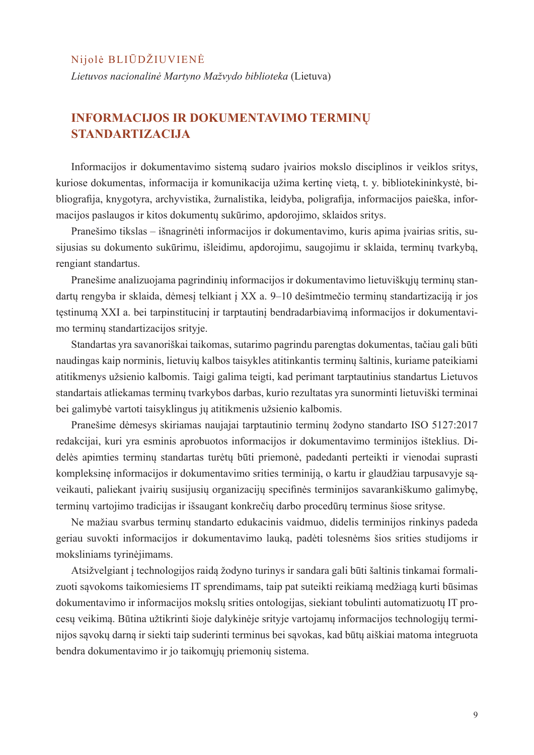#### Nijolė BLIŪDŽIUVIENĖ

*Lietuvos nacionalinė Martyno Mažvydo biblioteka* (Lietuva)

## **INFORMACIJOS IR DOKUMENTAVIMO TERMINŲ STANDARTIZACIJA**

Informacijos ir dokumentavimo sistemą sudaro įvairios mokslo disciplinos ir veiklos sritys, kuriose dokumentas, informacija ir komunikacija užima kertinę vietą, t. y. bibliotekininkystė, bibliografija, knygotyra, archyvistika, žurnalistika, leidyba, poligrafija, informacijos paieška, informacijos paslaugos ir kitos dokumentų sukūrimo, apdorojimo, sklaidos sritys.

Pranešimo tikslas – išnagrinėti informacijos ir dokumentavimo, kuris apima įvairias sritis, susijusias su dokumento sukūrimu, išleidimu, apdorojimu, saugojimu ir sklaida, terminų tvarkybą, rengiant standartus.

Pranešime analizuojama pagrindinių informacijos ir dokumentavimo lietuviškųjų terminų standartų rengyba ir sklaida, dėmesį telkiant į XX a. 9–10 dešimtmečio terminų standartizaciją ir jos tęstinumą XXI a. bei tarpinstitucinį ir tarptautinį bendradarbiavimą informacijos ir dokumentavimo terminų standartizacijos srityje.

Standartas yra savanoriškai taikomas, sutarimo pagrindu parengtas dokumentas, tačiau gali būti naudingas kaip norminis, lietuvių kalbos taisykles atitinkantis terminų šaltinis, kuriame pateikiami atitikmenys užsienio kalbomis. Taigi galima teigti, kad perimant tarptautinius standartus Lietuvos standartais atliekamas terminų tvarkybos darbas, kurio rezultatas yra sunorminti lietuviški terminai bei galimybė vartoti taisyklingus jų atitikmenis užsienio kalbomis.

Pranešime dėmesys skiriamas naujajai tarptautinio terminų žodyno standarto ISO 5127:2017 redakcijai, kuri yra esminis aprobuotos informacijos ir dokumentavimo terminijos išteklius. Didelės apimties terminų standartas turėtų būti priemonė, padedanti perteikti ir vienodai suprasti kompleksinę informacijos ir dokumentavimo srities terminiją, o kartu ir glaudžiau tarpusavyje sąveikauti, paliekant įvairių susijusių organizacijų specifinės terminijos savarankiškumo galimybę, terminų vartojimo tradicijas ir išsaugant konkrečių darbo procedūrų terminus šiose srityse.

Ne mažiau svarbus terminų standarto edukacinis vaidmuo, didelis terminijos rinkinys padeda geriau suvokti informacijos ir dokumentavimo lauką, padėti tolesnėms šios srities studijoms ir moksliniams tyrinėjimams.

Atsižvelgiant į technologijos raidą žodyno turinys ir sandara gali būti šaltinis tinkamai formalizuoti sąvokoms taikomiesiems IT sprendimams, taip pat suteikti reikiamą medžiagą kurti būsimas dokumentavimo ir informacijos mokslų srities ontologijas, siekiant tobulinti automatizuotų IT procesų veikimą. Būtina užtikrinti šioje dalykinėje srityje vartojamų informacijos technologijų terminijos sąvokų darną ir siekti taip suderinti terminus bei sąvokas, kad būtų aiškiai matoma integruota bendra dokumentavimo ir jo taikomųjų priemonių sistema.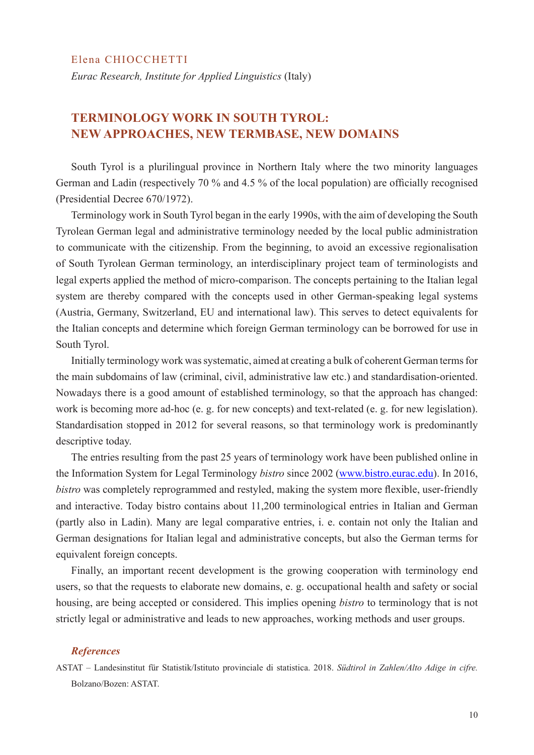*Eurac Research, Institute for Applied Linguistics* (Italy)

## **TERMINOLOGY WORK IN SOUTH TYROL: NEW APPROACHES, NEW TERMBASE, NEW DOMAINS**

South Tyrol is a plurilingual province in Northern Italy where the two minority languages German and Ladin (respectively 70 % and 4.5 % of the local population) are officially recognised (Presidential Decree 670/1972).

Terminology work in South Tyrol began in the early 1990s, with the aim of developing the South Tyrolean German legal and administrative terminology needed by the local public administration to communicate with the citizenship. From the beginning, to avoid an excessive regionalisation of South Tyrolean German terminology, an interdisciplinary project team of terminologists and legal experts applied the method of micro-comparison. The concepts pertaining to the Italian legal system are thereby compared with the concepts used in other German-speaking legal systems (Austria, Germany, Switzerland, EU and international law). This serves to detect equivalents for the Italian concepts and determine which foreign German terminology can be borrowed for use in South Tyrol.

Initially terminology work was systematic, aimed at creating a bulk of coherent German terms for the main subdomains of law (criminal, civil, administrative law etc.) and standardisation-oriented. Nowadays there is a good amount of established terminology, so that the approach has changed: work is becoming more ad-hoc (e. g. for new concepts) and text-related (e. g. for new legislation). Standardisation stopped in 2012 for several reasons, so that terminology work is predominantly descriptive today.

The entries resulting from the past 25 years of terminology work have been published online in the Information System for Legal Terminology *bistro* since 2002 (www.bistro.eurac.edu). In 2016, *bistro* was completely reprogrammed and restyled, making the system more flexible, user-friendly and interactive. Today bistro contains about 11,200 terminological entries in Italian and German (partly also in Ladin). Many are legal comparative entries, i. e. contain not only the Italian and German designations for Italian legal and administrative concepts, but also the German terms for equivalent foreign concepts.

Finally, an important recent development is the growing cooperation with terminology end users, so that the requests to elaborate new domains, e. g. occupational health and safety or social housing, are being accepted or considered. This implies opening *bistro* to terminology that is not strictly legal or administrative and leads to new approaches, working methods and user groups.

#### *References*

ASTAT – Landesinstitut für Statistik/Istituto provinciale di statistica. 2018. *Südtirol in Zahlen/Alto Adige in cifre.* Bolzano/Bozen: ASTAT.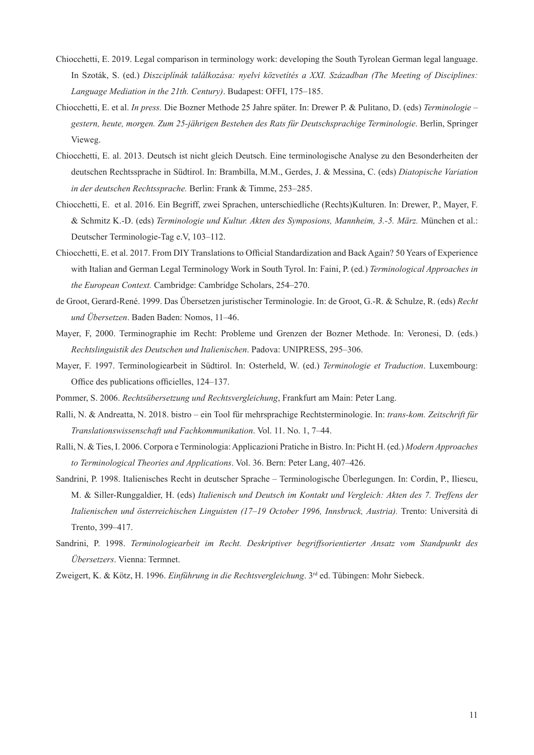- Chiocchetti, E. 2019. Legal comparison in terminology work: developing the South Tyrolean German legal language. In Szoták, S. (ed.) *Diszciplínák találkozása: nyelvi közvetítés a XXI. Században (The Meeting of Disciplines: Language Mediation in the 21th. Century)*. Budapest: OFFI, 175–185.
- Chiocchetti, E. et al. *In press.* Die Bozner Methode 25 Jahre später. In: Drewer P. & Pulitano, D. (eds) *Terminologie gestern, heute, morgen. Zum 25-jährigen Bestehen des Rats für Deutschsprachige Terminologie*. Berlin, Springer Vieweg.
- Chiocchetti, E. al. 2013. Deutsch ist nicht gleich Deutsch. Eine terminologische Analyse zu den Besonderheiten der deutschen Rechtssprache in Südtirol. In: Brambilla, M.M., Gerdes, J. & Messina, C. (eds) *Diatopische Variation in der deutschen Rechtssprache.* Berlin: Frank & Timme, 253–285.
- Chiocchetti, E. et al. 2016. Ein Begriff, zwei Sprachen, unterschiedliche (Rechts)Kulturen. In: Drewer, P., Mayer, F. & Schmitz K.-D. (eds) *Terminologie und Kultur. Akten des Symposions, Mannheim, 3.-5. März.* München et al.: Deutscher Terminologie-Tag e.V, 103–112.
- Chiocchetti, E. et al. 2017. From DIY Translations to Official Standardization and Back Again? 50 Years of Experience with Italian and German Legal Terminology Work in South Tyrol. In: Faini, P. (ed.) *Terminological Approaches in the European Context.* Cambridge: Cambridge Scholars, 254–270.
- de Groot, Gerard-René. 1999. Das Übersetzen juristischer Terminologie. In: de Groot, G.-R. & Schulze, R. (eds) *Recht und Übersetzen*. Baden Baden: Nomos, 11–46.
- Mayer, F, 2000. Terminographie im Recht: Probleme und Grenzen der Bozner Methode. In: Veronesi, D. (eds.) *Rechtslinguistik des Deutschen und Italienischen*. Padova: UNIPRESS, 295–306.
- Mayer, F. 1997. Terminologiearbeit in Südtirol. In: Osterheld, W. (ed.) *Terminologie et Traduction*. Luxembourg: Office des publications officielles, 124–137.
- Pommer, S. 2006. *Rechtsübersetzung und Rechtsvergleichung*, Frankfurt am Main: Peter Lang.
- Ralli, N. & Andreatta, N. 2018. bistro ein Tool für mehrsprachige Rechtsterminologie. In: *trans-kom. Zeitschrift für Translationswissenschaft und Fachkommunikation*. Vol. 11. No. 1, 7–44.
- Ralli, N. & Ties, I. 2006. Corpora e Terminologia: Applicazioni Pratiche in Bistro. In: Picht H. (ed.) *Modern Approaches to Terminological Theories and Applications*. Vol. 36. Bern: Peter Lang, 407–426.
- Sandrini, P. 1998. Italienisches Recht in deutscher Sprache Terminologische Überlegungen. In: Cordin, P., Iliescu, M. & Siller-Runggaldier, H. (eds) *Italienisch und Deutsch im Kontakt und Vergleich: Akten des 7. Treffens der Italienischen und österreichischen Linguisten (17–19 October 1996, Innsbruck, Austria).* Trento: Università di Trento, 399–417.
- Sandrini, P. 1998. *Terminologiearbeit im Recht. Deskriptiver begriffsorientierter Ansatz vom Standpunkt des Übersetzers*. Vienna: Termnet.
- Zweigert, K. & Kötz, H. 1996. *Einführung in die Rechtsvergleichung*. 3rd ed. Tübingen: Mohr Siebeck.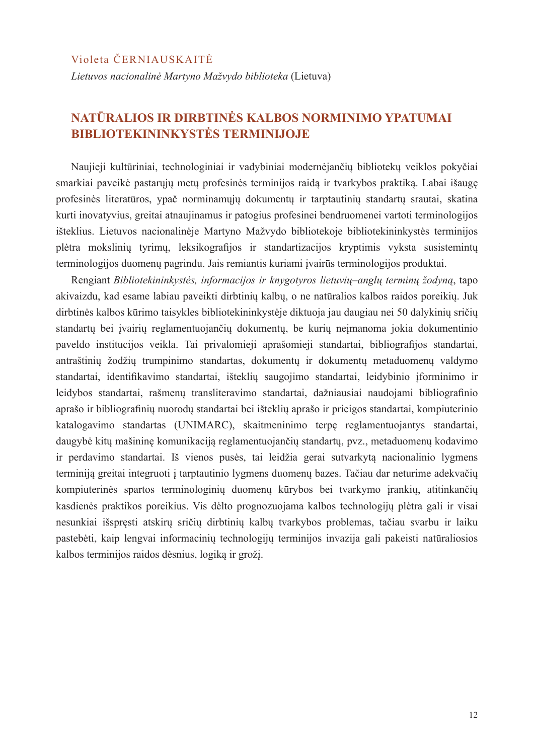#### Violeta ČERNIAUSKAITĖ

*Lietuvos nacionalinė Martyno Mažvydo biblioteka* (Lietuva)

## **NATŪRALIOS IR DIRBTINĖS KALBOS NORMINIMO YPATUMAI BIBLIOTEKININKYSTĖS TERMINIJOJE**

Naujieji kultūriniai, technologiniai ir vadybiniai modernėjančių bibliotekų veiklos pokyčiai smarkiai paveikė pastarųjų metų profesinės terminijos raidą ir tvarkybos praktiką. Labai išaugę profesinės literatūros, ypač norminamųjų dokumentų ir tarptautinių standartų srautai, skatina kurti inovatyvius, greitai atnaujinamus ir patogius profesinei bendruomenei vartoti terminologijos išteklius. Lietuvos nacionalinėje Martyno Mažvydo bibliotekoje bibliotekininkystės terminijos plėtra mokslinių tyrimų, leksikografijos ir standartizacijos kryptimis vyksta susistemintų terminologijos duomenų pagrindu. Jais remiantis kuriami įvairūs terminologijos produktai.

Rengiant *Bibliotekininkystės, informacijos ir knygotyros lietuvių–anglų terminų žodyną*, tapo akivaizdu, kad esame labiau paveikti dirbtinių kalbų, o ne natūralios kalbos raidos poreikių. Juk dirbtinės kalbos kūrimo taisykles bibliotekininkystėje diktuoja jau daugiau nei 50 dalykinių sričių standartų bei įvairių reglamentuojančių dokumentų, be kurių neįmanoma jokia dokumentinio paveldo institucijos veikla. Tai privalomieji aprašomieji standartai, bibliografijos standartai, antraštinių žodžių trumpinimo standartas, dokumentų ir dokumentų metaduomenų valdymo standartai, identifikavimo standartai, išteklių saugojimo standartai, leidybinio įforminimo ir leidybos standartai, rašmenų transliteravimo standartai, dažniausiai naudojami bibliografinio aprašo ir bibliografinių nuorodų standartai bei išteklių aprašo ir prieigos standartai, kompiuterinio katalogavimo standartas (UNIMARC), skaitmeninimo terpę reglamentuojantys standartai, daugybė kitų mašininę komunikaciją reglamentuojančių standartų, pvz., metaduomenų kodavimo ir perdavimo standartai. Iš vienos pusės, tai leidžia gerai sutvarkytą nacionalinio lygmens terminiją greitai integruoti į tarptautinio lygmens duomenų bazes. Tačiau dar neturime adekvačių kompiuterinės spartos terminologinių duomenų kūrybos bei tvarkymo įrankių, atitinkančių kasdienės praktikos poreikius. Vis dėlto prognozuojama kalbos technologijų plėtra gali ir visai nesunkiai išspręsti atskirų sričių dirbtinių kalbų tvarkybos problemas, tačiau svarbu ir laiku pastebėti, kaip lengvai informacinių technologijų terminijos invazija gali pakeisti natūraliosios kalbos terminijos raidos dėsnius, logiką ir grožį.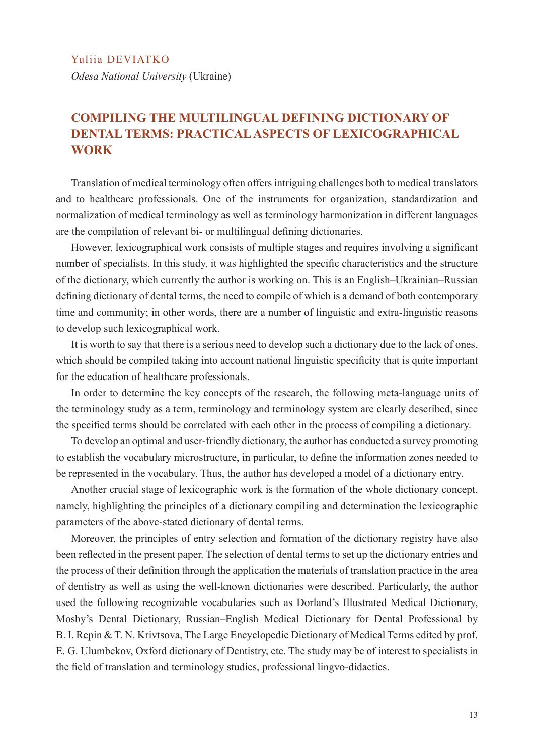#### Yuliia DEVIATKO

*Odesa National University* (Ukraine)

## **COMPILING THE MULTILINGUAL DEFINING DICTIONARY OF DENTAL TERMS: PRACTICAL ASPECTS OF LEXICOGRAPHICAL WORK**

Translation of medical terminology often offers intriguing challenges both to medical translators and to healthcare professionals. One of the instruments for organization, standardization and normalization of medical terminology as well as terminology harmonization in different languages are the compilation of relevant bi- or multilingual defining dictionaries.

However, lexicographical work consists of multiple stages and requires involving a significant number of specialists. In this study, it was highlighted the specific characteristics and the structure of the dictionary, which currently the author is working on. This is an English–Ukrainian–Russian defining dictionary of dental terms, the need to compile of which is a demand of both contemporary time and community; in other words, there are a number of linguistic and extra-linguistic reasons to develop such lexicographical work.

It is worth to say that there is a serious need to develop such a dictionary due to the lack of ones, which should be compiled taking into account national linguistic specificity that is quite important for the education of healthcare professionals.

In order to determine the key concepts of the research, the following meta-language units of the terminology study as a term, terminology and terminology system are clearly described, since the specified terms should be correlated with each other in the process of compiling a dictionary.

To develop an optimal and user-friendly dictionary, the author has conducted a survey promoting to establish the vocabulary microstructure, in particular, to define the information zones needed to be represented in the vocabulary. Thus, the author has developed a model of a dictionary entry.

Another crucial stage of lexicographic work is the formation of the whole dictionary concept, namely, highlighting the principles of a dictionary compiling and determination the lexicographic parameters of the above-stated dictionary of dental terms.

Moreover, the principles of entry selection and formation of the dictionary registry have also been reflected in the present paper. The selection of dental terms to set up the dictionary entries and the process of their definition through the application the materials of translation practice in the area of dentistry as well as using the well-known dictionaries were described. Particularly, the author used the following recognizable vocabularies such as Dorland's Illustrated Medical Dictionary, Mosby's Dental Dictionary, Russian–English Medical Dictionary for Dental Professional by B. I. Repin & T. N. Krivtsova, The Large Encyclopedic Dictionary of Medical Terms edited by prof. E. G. Ulumbekov, Oxford dictionary of Dentistry, etc. The study may be of interest to specialists in the field of translation and terminology studies, professional lingvo-didactics.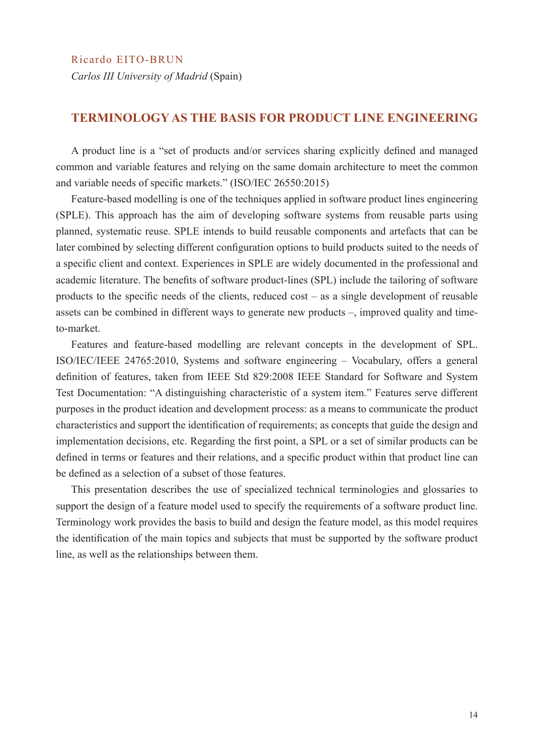Ricardo EITO-BRUN *Carlos III University of Madrid* (Spain)

#### **TERMINOLOGY AS THE BASIS FOR PRODUCT LINE ENGINEERING**

A product line is a "set of products and/or services sharing explicitly defined and managed common and variable features and relying on the same domain architecture to meet the common and variable needs of specific markets." (ISO/IEC 26550:2015)

Feature-based modelling is one of the techniques applied in software product lines engineering (SPLE). This approach has the aim of developing software systems from reusable parts using planned, systematic reuse. SPLE intends to build reusable components and artefacts that can be later combined by selecting different configuration options to build products suited to the needs of a specific client and context. Experiences in SPLE are widely documented in the professional and academic literature. The benefits of software product-lines (SPL) include the tailoring of software products to the specific needs of the clients, reduced cost – as a single development of reusable assets can be combined in different ways to generate new products –, improved quality and timeto-market.

Features and feature-based modelling are relevant concepts in the development of SPL. ISO/IEC/IEEE 24765:2010, Systems and software engineering – Vocabulary, offers a general definition of features, taken from IEEE Std 829:2008 IEEE Standard for Software and System Test Documentation: "A distinguishing characteristic of a system item." Features serve different purposes in the product ideation and development process: as a means to communicate the product characteristics and support the identification of requirements; as concepts that guide the design and implementation decisions, etc. Regarding the first point, a SPL or a set of similar products can be defined in terms or features and their relations, and a specific product within that product line can be defined as a selection of a subset of those features.

This presentation describes the use of specialized technical terminologies and glossaries to support the design of a feature model used to specify the requirements of a software product line. Terminology work provides the basis to build and design the feature model, as this model requires the identification of the main topics and subjects that must be supported by the software product line, as well as the relationships between them.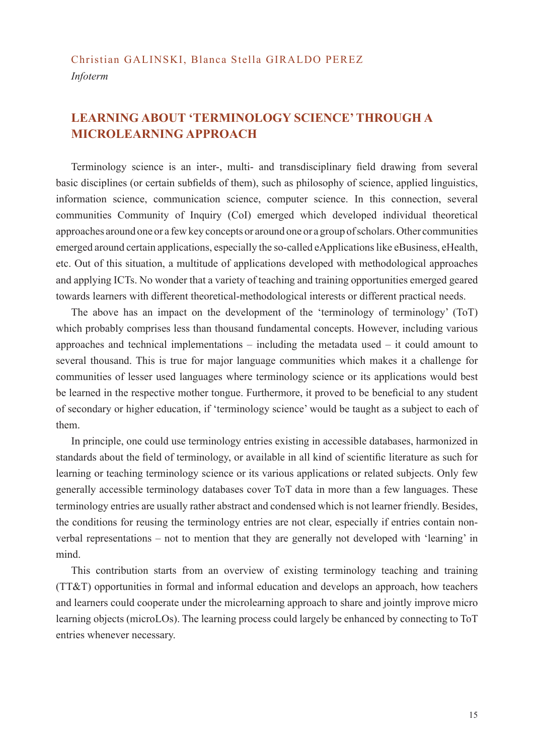## Christian GALINSKI, Blanca Stella GIRALDO PEREZ *Infoterm*

## **LEARNING ABOUT 'TERMINOLOGY SCIENCE' THROUGH A MICROLEARNING APPROACH**

Terminology science is an inter-, multi- and transdisciplinary field drawing from several basic disciplines (or certain subfields of them), such as philosophy of science, applied linguistics, information science, communication science, computer science. In this connection, several communities Community of Inquiry (CoI) emerged which developed individual theoretical approaches around one or a few key concepts or around one or a group of scholars. Other communities emerged around certain applications, especially the so-called eApplications like eBusiness, eHealth, etc. Out of this situation, a multitude of applications developed with methodological approaches and applying ICTs. No wonder that a variety of teaching and training opportunities emerged geared towards learners with different theoretical-methodological interests or different practical needs.

The above has an impact on the development of the 'terminology of terminology' (ToT) which probably comprises less than thousand fundamental concepts. However, including various approaches and technical implementations – including the metadata used – it could amount to several thousand. This is true for major language communities which makes it a challenge for communities of lesser used languages where terminology science or its applications would best be learned in the respective mother tongue. Furthermore, it proved to be beneficial to any student of secondary or higher education, if 'terminology science' would be taught as a subject to each of them.

In principle, one could use terminology entries existing in accessible databases, harmonized in standards about the field of terminology, or available in all kind of scientific literature as such for learning or teaching terminology science or its various applications or related subjects. Only few generally accessible terminology databases cover ToT data in more than a few languages. These terminology entries are usually rather abstract and condensed which is not learner friendly. Besides, the conditions for reusing the terminology entries are not clear, especially if entries contain nonverbal representations – not to mention that they are generally not developed with 'learning' in mind.

This contribution starts from an overview of existing terminology teaching and training (TT&T) opportunities in formal and informal education and develops an approach, how teachers and learners could cooperate under the microlearning approach to share and jointly improve micro learning objects (microLOs). The learning process could largely be enhanced by connecting to ToT entries whenever necessary.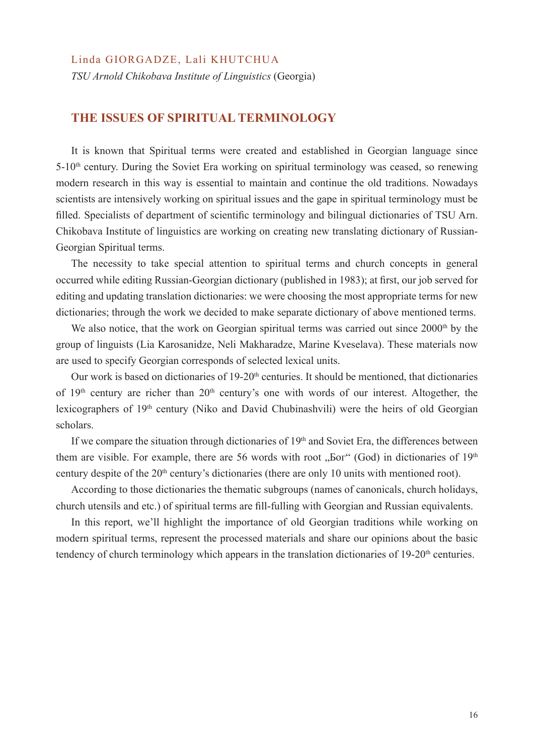#### Linda GIORGADZE, Lali KHUTCHUA

*TSU Arnold Chikobava Institute of Linguistics* (Georgia)

#### **THE ISSUES OF SPIRITUAL TERMINOLOGY**

It is known that Spiritual terms were created and established in Georgian language since  $5-10<sup>th</sup>$  century. During the Soviet Era working on spiritual terminology was ceased, so renewing modern research in this way is essential to maintain and continue the old traditions. Nowadays scientists are intensively working on spiritual issues and the gape in spiritual terminology must be filled. Specialists of department of scientific terminology and bilingual dictionaries of TSU Arn. Chikobava Institute of linguistics are working on creating new translating dictionary of Russian-Georgian Spiritual terms.

The necessity to take special attention to spiritual terms and church concepts in general occurred while editing Russian-Georgian dictionary (published in 1983); at first, our job served for editing and updating translation dictionaries: we were choosing the most appropriate terms for new dictionaries; through the work we decided to make separate dictionary of above mentioned terms.

We also notice, that the work on Georgian spiritual terms was carried out since 2000<sup>th</sup> by the group of linguists (Lia Karosanidze, Neli Makharadze, Marine Kveselava). These materials now are used to specify Georgian corresponds of selected lexical units.

Our work is based on dictionaries of 19-20<sup>th</sup> centuries. It should be mentioned, that dictionaries of 19<sup>th</sup> century are richer than 20<sup>th</sup> century's one with words of our interest. Altogether, the lexicographers of 19th century (Niko and David Chubinashvili) were the heirs of old Georgian scholars.

If we compare the situation through dictionaries of  $19<sup>th</sup>$  and Soviet Era, the differences between them are visible. For example, there are 56 words with root " $\overline{5}$  God) in dictionaries of 19<sup>th</sup> century despite of the 20<sup>th</sup> century's dictionaries (there are only 10 units with mentioned root).

According to those dictionaries the thematic subgroups (names of canonicals, church holidays, church utensils and etc.) of spiritual terms are fill-fulling with Georgian and Russian equivalents.

In this report, we'll highlight the importance of old Georgian traditions while working on modern spiritual terms, represent the processed materials and share our opinions about the basic tendency of church terminology which appears in the translation dictionaries of 19-20<sup>th</sup> centuries.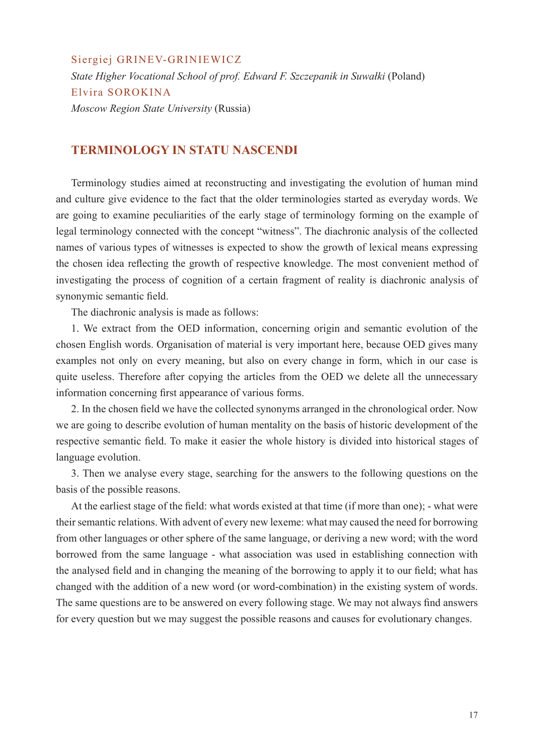Siergiej GRINEV-GRINIEWICZ *State Higher Vocational School of prof. Edward F. Szczepanik in Suwałki* (Poland) Elvira SOROKINA *Moscow Region State University* (Russia)

#### **TERMINOLOGY IN STATU NASCENDI**

Terminology studies aimed at reconstructing and investigating the evolution of human mind and culture give evidence to the fact that the older terminologies started as everyday words. We are going to examine peculiarities of the early stage of terminology forming on the example of legal terminology connected with the concept "witness". The diachronic analysis of the collected names of various types of witnesses is expected to show the growth of lexical means expressing the chosen idea reflecting the growth of respective knowledge. The most convenient method of investigating the process of cognition of a certain fragment of reality is diachronic analysis of synonymic semantic field.

The diachronic analysis is made as follows:

1. We extract from the OED information, concerning origin and semantic evolution of the chosen English words. Organisation of material is very important here, because OED gives many examples not only on every meaning, but also on every change in form, which in our case is quite useless. Therefore after copying the articles from the OED we delete all the unnecessary information concerning first appearance of various forms.

2. In the chosen field we have the collected synonyms arranged in the chronological order. Now we are going to describe evolution of human mentality on the basis of historic development of the respective semantic field. To make it easier the whole history is divided into historical stages of language evolution.

3. Then we analyse every stage, searching for the answers to the following questions on the basis of the possible reasons.

At the earliest stage of the field: what words existed at that time (if more than one); - what were their semantic relations. With advent of every new lexeme: what may caused the need for borrowing from other languages or other sphere of the same language, or deriving a new word; with the word borrowed from the same language - what association was used in establishing connection with the analysed field and in changing the meaning of the borrowing to apply it to our field; what has changed with the addition of a new word (or word-combination) in the existing system of words. The same questions are to be answered on every following stage. We may not always find answers for every question but we may suggest the possible reasons and causes for evolutionary changes.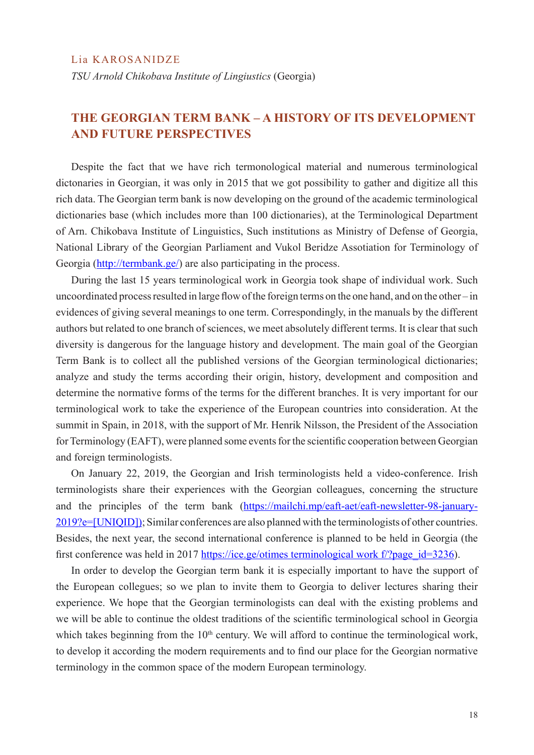*TSU Arnold Chikobava Institute of Lingiustics* (Georgia)

## **THE GEORGIAN TERM BANK – A HISTORY OF ITS DEVELOPMENT AND FUTURE PERSPECTIVES**

Despite the fact that we have rich termonological material and numerous terminological dictonaries in Georgian, it was only in 2015 that we got possibility to gather and digitize all this rich data. The Georgian term bank is now developing on the ground of the academic terminological dictionaries base (which includes more than 100 dictionaries), at the Terminological Department of Arn. Chikobava Institute of Linguistics, Such institutions as Ministry of Defense of Georgia, National Library of the Georgian Parliament and Vukol Beridze Assotiation for Terminology of Georgia (http://termbank.ge/) are also participating in the process.

During the last 15 years terminological work in Georgia took shape of individual work. Such uncoordinated process resulted in large flow of the foreign terms on the one hand, and on the other – in evidences of giving several meanings to one term. Correspondingly, in the manuals by the different authors but related to one branch of sciences, we meet absolutely different terms. It is clear that such diversity is dangerous for the language history and development. The main goal of the Georgian Term Bank is to collect all the published versions of the Georgian terminological dictionaries; analyze and study the terms according their origin, history, development and composition and determine the normative forms of the terms for the different branches. It is very important for our terminological work to take the experience of the European countries into consideration. At the summit in Spain, in 2018, with the support of Mr. Henrik Nilsson, the President of the Association for Terminology (EAFT), were planned some events for the scientific cooperation between Georgian and foreign terminologists.

On January 22, 2019, the Georgian and Irish terminologists held a video-conference. Irish terminologists share their experiences with the Georgian colleagues, concerning the structure and the principles of the term bank (https://mailchi.mp/eaft-aet/eaft-newsletter-98-january-2019?e=[UNIQID]); Similar conferences are also planned with the terminologists of other countries. Besides, the next year, the second international conference is planned to be held in Georgia (the first conference was held in 2017 https://ice.ge/otimes terminological work f/?page\_id=3236).

In order to develop the Georgian term bank it is especially important to have the support of the European collegues; so we plan to invite them to Georgia to deliver lectures sharing their experience. We hope that the Georgian terminologists can deal with the existing problems and we will be able to continue the oldest traditions of the scientific terminological school in Georgia which takes beginning from the  $10<sup>th</sup>$  century. We will afford to continue the terminological work, to develop it according the modern requirements and to find our place for the Georgian normative terminology in the common space of the modern European terminology.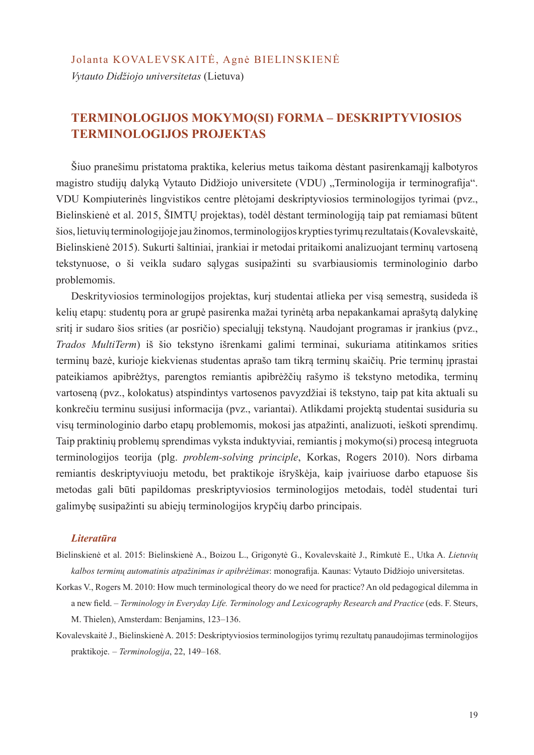#### Jolanta KOVALEVSKAITĖ, Agnė BIELINSKIENĖ

*Vytauto Didžiojo universitetas* (Lietuva)

## **TERMINOLOGIJOS MOKYMO(SI) FORMA – DESKRIPTYVIOSIOS TERMINOLOGIJOS PROJEKTAS**

Šiuo pranešimu pristatoma praktika, kelerius metus taikoma dėstant pasirenkamąjį kalbotyros magistro studiju dalyka Vytauto Didžiojo universitete (VDU) "Terminologija ir terminografija". VDU Kompiuterinės lingvistikos centre plėtojami deskriptyviosios terminologijos tyrimai (pvz., Bielinskienė et al. 2015, ŠIMTŲ projektas), todėl dėstant terminologiją taip pat remiamasi būtent šios, lietuvių terminologijoje jau žinomos, terminologijos krypties tyrimų rezultatais (Kovalevskaitė, Bielinskienė 2015). Sukurti šaltiniai, įrankiai ir metodai pritaikomi analizuojant terminų vartoseną tekstynuose, o ši veikla sudaro sąlygas susipažinti su svarbiausiomis terminologinio darbo problemomis.

Deskrityviosios terminologijos projektas, kurį studentai atlieka per visą semestrą, susideda iš kelių etapų: studentų pora ar grupė pasirenka mažai tyrinėtą arba nepakankamai aprašytą dalykinę sritį ir sudaro šios srities (ar posričio) specialųjį tekstyną. Naudojant programas ir įrankius (pvz., *Trados MultiTerm*) iš šio tekstyno išrenkami galimi terminai, sukuriama atitinkamos srities terminų bazė, kurioje kiekvienas studentas aprašo tam tikrą terminų skaičių. Prie terminų įprastai pateikiamos apibrėžtys, parengtos remiantis apibrėžčių rašymo iš tekstyno metodika, terminų vartoseną (pvz., kolokatus) atspindintys vartosenos pavyzdžiai iš tekstyno, taip pat kita aktuali su konkrečiu terminu susijusi informacija (pvz., variantai). Atlikdami projektą studentai susiduria su visų terminologinio darbo etapų problemomis, mokosi jas atpažinti, analizuoti, ieškoti sprendimų. Taip praktinių problemų sprendimas vyksta induktyviai, remiantis į mokymo(si) procesą integruota terminologijos teorija (plg. *problem-solving principle*, Korkas, Rogers 2010). Nors dirbama remiantis deskriptyviuoju metodu, bet praktikoje išryškėja, kaip įvairiuose darbo etapuose šis metodas gali būti papildomas preskriptyviosios terminologijos metodais, todėl studentai turi galimybę susipažinti su abiejų terminologijos krypčių darbo principais.

#### *Literatūra*

- Bielinskienė et al. 2015: Bielinskienė A., Boizou L., Grigonytė G., Kovalevskaitė J., Rimkutė E., Utka A. *Lietuvių kalbos terminų automatinis atpažinimas ir apibrėžimas*: monografija. Kaunas: Vytauto Didžiojo universitetas.
- Korkas V., Rogers M. 2010: How much terminological theory do we need for practice? An old pedagogical dilemma in a new field. – *Terminology in Everyday Life. Terminology and Lexicography Research and Practice* (eds. F. Steurs, M. Thielen), Amsterdam: Benjamins, 123–136.
- Kovalevskaitė J., Bielinskienė A. 2015: Deskriptyviosios terminologijos tyrimų rezultatų panaudojimas terminologijos praktikoje. – *Terminologija*, 22, 149–168.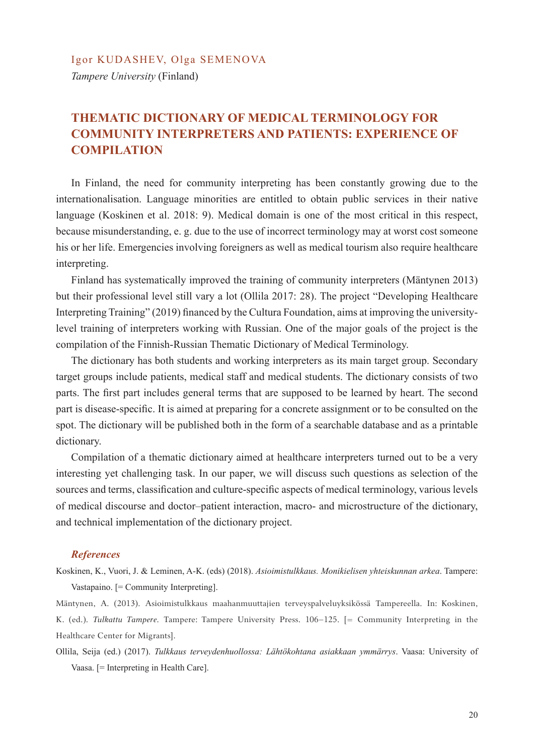*Tampere University* (Finland)

## **THEMATIC DICTIONARY OF MEDICAL TERMINOLOGY FOR COMMUNITY INTERPRETERS AND PATIENTS: EXPERIENCE OF COMPILATION**

In Finland, the need for community interpreting has been constantly growing due to the internationalisation. Language minorities are entitled to obtain public services in their native language (Koskinen et al. 2018: 9). Medical domain is one of the most critical in this respect, because misunderstanding, e. g. due to the use of incorrect terminology may at worst cost someone his or her life. Emergencies involving foreigners as well as medical tourism also require healthcare interpreting.

Finland has systematically improved the training of community interpreters (Mäntynen 2013) but their professional level still vary a lot (Ollila 2017: 28). The project "Developing Healthcare Interpreting Training" (2019) financed by the Cultura Foundation, aims at improving the universitylevel training of interpreters working with Russian. One of the major goals of the project is the compilation of the Finnish-Russian Thematic Dictionary of Medical Terminology.

The dictionary has both students and working interpreters as its main target group. Secondary target groups include patients, medical staff and medical students. The dictionary consists of two parts. The first part includes general terms that are supposed to be learned by heart. The second part is disease-specific. It is aimed at preparing for a concrete assignment or to be consulted on the spot. The dictionary will be published both in the form of a searchable database and as a printable dictionary.

Compilation of a thematic dictionary aimed at healthcare interpreters turned out to be a very interesting yet challenging task. In our paper, we will discuss such questions as selection of the sources and terms, classification and culture-specific aspects of medical terminology, various levels of medical discourse and doctor–patient interaction, macro- and microstructure of the dictionary, and technical implementation of the dictionary project.

#### *References*

Koskinen, K., Vuori, J. & Leminen, A-K. (eds) (2018). *Asioimistulkkaus. Monikielisen yhteiskunnan arkea*. Tampere: Vastapaino. [= Community Interpreting].

Mäntynen, A. (2013). Asioimistulkkaus maahanmuuttajien terveyspalveluyksikössä Tampereella. In: Koskinen, K. (ed.). *Tulkattu Tampere*. Tampere: Tampere University Press. 106–125. [= Community Interpreting in the Healthcare Center for Migrants].

Ollila, Seija (ed.) (2017). *Tulkkaus terveydenhuollossa: Lähtökohtana asiakkaan ymmärrys*. Vaasa: University of Vaasa. [= Interpreting in Health Care].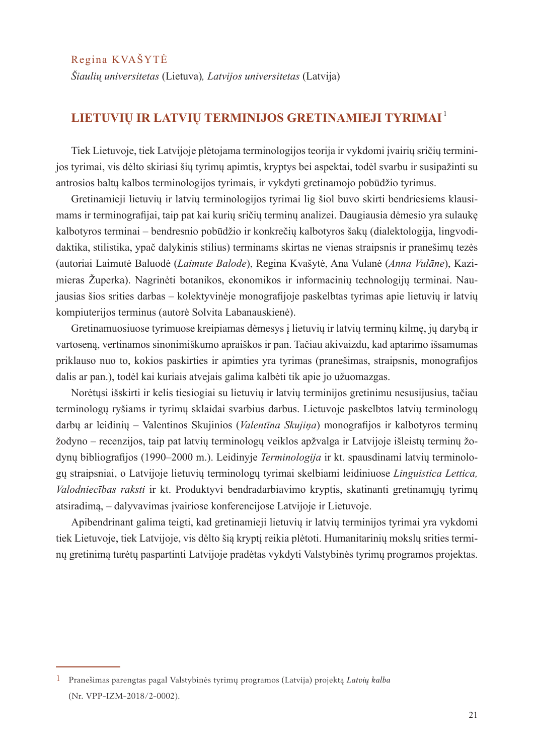Regina KVAŠYTĖ

*Šiaulių universitetas* (Lietuva)*, Latvijos universitetas* (Latvija)

## **LIETUVIŲ IR LATVIŲ TERMINIJOS GRETINAMIEJI TYRIMAI** <sup>1</sup>

Tiek Lietuvoje, tiek Latvijoje plėtojama terminologijos teorija ir vykdomi įvairių sričių terminijos tyrimai, vis dėlto skiriasi šių tyrimų apimtis, kryptys bei aspektai, todėl svarbu ir susipažinti su antrosios baltų kalbos terminologijos tyrimais, ir vykdyti gretinamojo pobūdžio tyrimus.

Gretinamieji lietuvių ir latvių terminologijos tyrimai lig šiol buvo skirti bendriesiems klausimams ir terminografijai, taip pat kai kurių sričių terminų analizei. Daugiausia dėmesio yra sulaukę kalbotyros terminai – bendresnio pobūdžio ir konkrečių kalbotyros šakų (dialektologija, lingvodidaktika, stilistika, ypač dalykinis stilius) terminams skirtas ne vienas straipsnis ir pranešimų tezės (autoriai Laimutė Baluodė (*Laimute Balode*), Regina Kvašytė, Ana Vulanė (*Anna Vulāne*), Kazimieras Župerka). Nagrinėti botanikos, ekonomikos ir informacinių technologijų terminai. Naujausias šios srities darbas – kolektyvinėje monografijoje paskelbtas tyrimas apie lietuvių ir latvių kompiuterijos terminus (autorė Solvita Labanauskienė).

Gretinamuosiuose tyrimuose kreipiamas dėmesys į lietuvių ir latvių terminų kilmę, jų darybą ir vartoseną, vertinamos sinonimiškumo apraiškos ir pan. Tačiau akivaizdu, kad aptarimo išsamumas priklauso nuo to, kokios paskirties ir apimties yra tyrimas (pranešimas, straipsnis, monografijos dalis ar pan.), todėl kai kuriais atvejais galima kalbėti tik apie jo užuomazgas.

Norėtųsi išskirti ir kelis tiesiogiai su lietuvių ir latvių terminijos gretinimu nesusijusius, tačiau terminologų ryšiams ir tyrimų sklaidai svarbius darbus. Lietuvoje paskelbtos latvių terminologų darbų ar leidinių – Valentinos Skujinios (*Valentīna Skujiņa*) monografijos ir kalbotyros terminų žodyno – recenzijos, taip pat latvių terminologų veiklos apžvalga ir Latvijoje išleistų terminų žodynų bibliografijos (1990–2000 m.). Leidinyje *Terminologija* ir kt. spausdinami latvių terminologų straipsniai, o Latvijoje lietuvių terminologų tyrimai skelbiami leidiniuose *Linguistica Lettica, Valodniecības raksti* ir kt. Produktyvi bendradarbiavimo kryptis, skatinanti gretinamųjų tyrimų atsiradimą, – dalyvavimas įvairiose konferencijose Latvijoje ir Lietuvoje.

Apibendrinant galima teigti, kad gretinamieji lietuvių ir latvių terminijos tyrimai yra vykdomi tiek Lietuvoje, tiek Latvijoje, vis dėlto šią kryptį reikia plėtoti. Humanitarinių mokslų srities terminų gretinimą turėtų paspartinti Latvijoje pradėtas vykdyti Valstybinės tyrimų programos projektas.

<sup>1</sup> Pranešimas parengtas pagal Valstybinės tyrimų programos (Latvija) projektą *Latvių kalba* (Nr. VPP-IZM-2018/2-0002).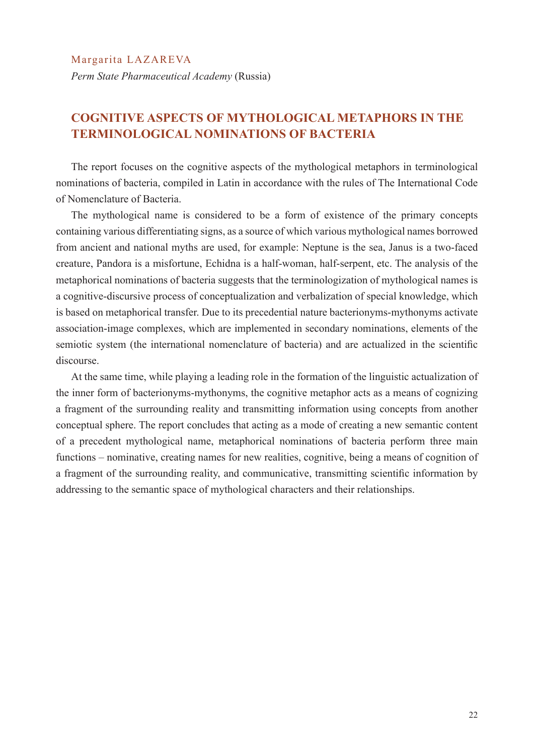*Perm State Pharmaceutical Academy* (Russia)

## **COGNITIVE ASPECTS OF MYTHOLOGICAL METAPHORS IN THE TERMINOLOGICAL NOMINATIONS OF BACTERIA**

The report focuses on the cognitive aspects of the mythological metaphors in terminological nominations of bacteria, compiled in Latin in accordance with the rules of The International Code of Nomenclature of Bacteria.

The mythological name is considered to be a form of existence of the primary concepts containing various differentiating signs, as a source of which various mythological names borrowed from ancient and national myths are used, for example: Neptune is the sea, Janus is a two-faced creature, Pandora is a misfortune, Echidna is a half-woman, half-serpent, etc. The analysis of the metaphorical nominations of bacteria suggests that the terminologization of mythological names is a cognitive-discursive process of conceptualization and verbalization of special knowledge, which is based on metaphorical transfer. Due to its precedential nature bacterionyms-mythonyms activate association-image complexes, which are implemented in secondary nominations, elements of the semiotic system (the international nomenclature of bacteria) and are actualized in the scientific discourse.

At the same time, while playing a leading role in the formation of the linguistic actualization of the inner form of bacterionyms-mythonyms, the cognitive metaphor acts as a means of cognizing a fragment of the surrounding reality and transmitting information using concepts from another conceptual sphere. The report concludes that acting as a mode of creating a new semantic content of a precedent mythological name, metaphorical nominations of bacteria perform three main functions – nominative, creating names for new realities, cognitive, being a means of cognition of a fragment of the surrounding reality, and communicative, transmitting scientific information by addressing to the semantic space of mythological characters and their relationships.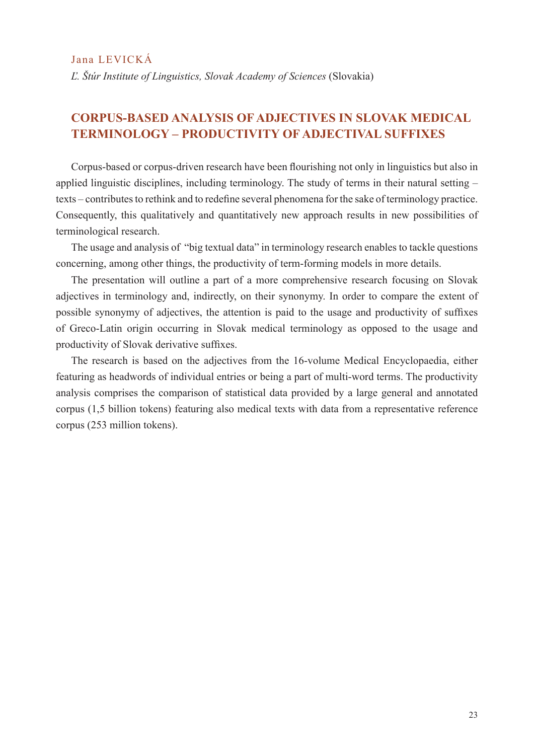*Ľ. Štúr Institute of Linguistics, Slovak Academy of Sciences* (Slovakia)

## **CORPUS-BASED ANALYSIS OF ADJECTIVES IN SLOVAK MEDICAL TERMINOLOGY – PRODUCTIVITY OF ADJECTIVAL SUFFIXES**

Corpus-based or corpus-driven research have been flourishing not only in linguistics but also in applied linguistic disciplines, including terminology. The study of terms in their natural setting – texts – contributes to rethink and to redefine several phenomena for the sake of terminology practice. Consequently, this qualitatively and quantitatively new approach results in new possibilities of terminological research.

The usage and analysis of "big textual data" in terminology research enables to tackle questions concerning, among other things, the productivity of term-forming models in more details.

The presentation will outline a part of a more comprehensive research focusing on Slovak adjectives in terminology and, indirectly, on their synonymy. In order to compare the extent of possible synonymy of adjectives, the attention is paid to the usage and productivity of suffixes of Greco-Latin origin occurring in Slovak medical terminology as opposed to the usage and productivity of Slovak derivative suffixes.

The research is based on the adjectives from the 16-volume Medical Encyclopaedia, either featuring as headwords of individual entries or being a part of multi-word terms. The productivity analysis comprises the comparison of statistical data provided by a large general and annotated corpus (1,5 billion tokens) featuring also medical texts with data from a representative reference corpus (253 million tokens).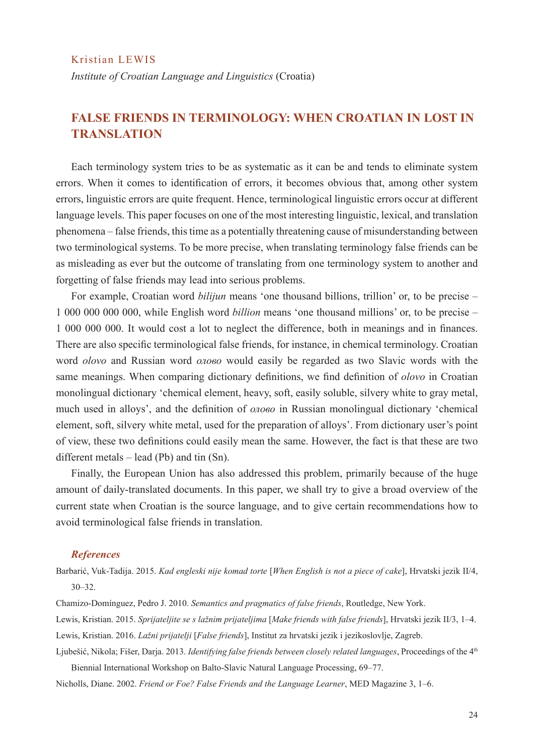#### Kristian LEWIS

*Institute of Croatian Language and Linguistics* (Croatia)

## **FALSE FRIENDS IN TERMINOLOGY: WHEN CROATIAN IN LOST IN TRANSLATION**

Each terminology system tries to be as systematic as it can be and tends to eliminate system errors. When it comes to identification of errors, it becomes obvious that, among other system errors, linguistic errors are quite frequent. Hence, terminological linguistic errors occur at different language levels. This paper focuses on one of the most interesting linguistic, lexical, and translation phenomena – false friends, this time as a potentially threatening cause of misunderstanding between two terminological systems. To be more precise, when translating terminology false friends can be as misleading as ever but the outcome of translating from one terminology system to another and forgetting of false friends may lead into serious problems.

For example, Croatian word *bilijun* means 'one thousand billions, trillion' or, to be precise – 1 000 000 000 000, while English word *billion* means 'one thousand millions' or, to be precise – 1 000 000 000. It would cost a lot to neglect the difference, both in meanings and in finances. There are also specific terminological false friends, for instance, in chemical terminology. Croatian word *olovo* and Russian word *олово* would easily be regarded as two Slavic words with the same meanings. When comparing dictionary definitions, we find definition of *olovo* in Croatian monolingual dictionary 'chemical element, heavy, soft, easily soluble, silvery white to gray metal, much used in alloys', and the definition of *олово* in Russian monolingual dictionary 'chemical element, soft, silvery white metal, used for the preparation of alloys'. From dictionary user's point of view, these two definitions could easily mean the same. However, the fact is that these are two different metals – lead (Pb) and tin (Sn).

Finally, the European Union has also addressed this problem, primarily because of the huge amount of daily-translated documents. In this paper, we shall try to give a broad overview of the current state when Croatian is the source language, and to give certain recommendations how to avoid terminological false friends in translation.

#### *References*

Barbarić, Vuk-Tadija. 2015. *Kad engleski nije komad torte* [*When English is not a piece of cake*], Hrvatski jezik II/4, 30–32.

Chamizo-Domínguez, Pedro J. 2010. *Semantics and pragmatics of false friends*, Routledge, New York.

Lewis, Kristian. 2015. *Sprijateljite se s lažnim prijateljima* [*Make friends with false friends*], Hrvatski jezik II/3, 1–4. Lewis, Kristian. 2016. *Lažni prijatelji* [*False friends*], Institut za hrvatski jezik i jezikoslovlje, Zagreb.

Ljubešić, Nikola; Fišer, Darja. 2013. *Identifying false friends between closely related languages*, Proceedings of the 4th Biennial International Workshop on Balto-Slavic Natural Language Processing, 69–77.

Nicholls, Diane. 2002. *Friend or Foe? False Friends and the Language Learner*, MED Magazine 3, 1–6.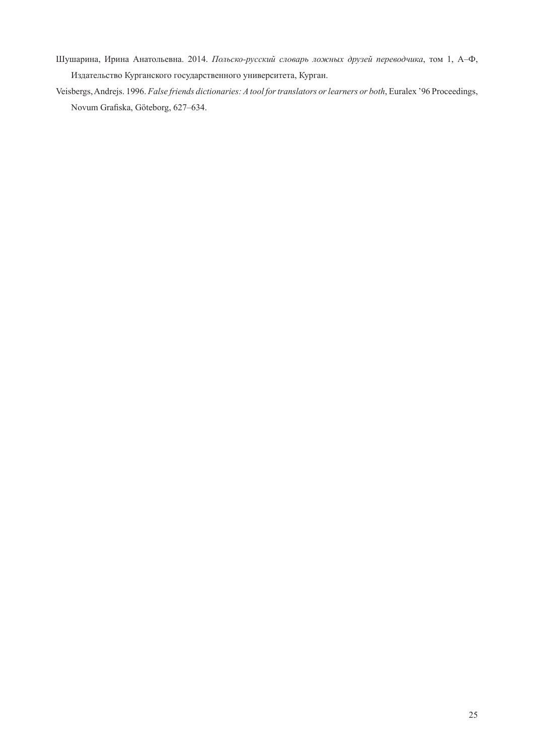- Шушарина, Ирина Анатольевна. 2014. *Польско-русский словарь ложных друзей переводчика*, том 1, А–Ф, Издательство Курганского государственного университета, Курган.
- Veisbergs, Andrejs. 1996. *False friends dictionaries: A tool for translators or learners or both*, Euralex '96 Proceedings, Novum Grafiska, Göteborg, 627–634.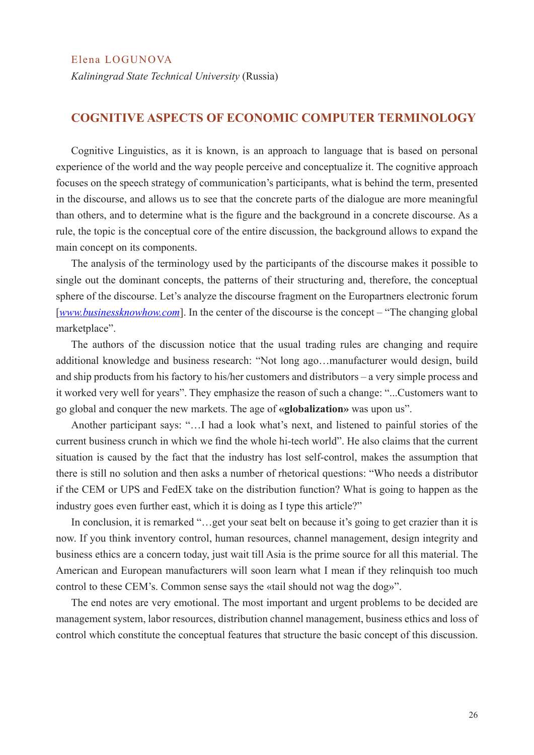*Kaliningrad State Technical University* (Russia)

#### **COGNITIVE ASPECTS OF ECONOMIC COMPUTER TERMINOLOGY**

Cognitive Linguistics, as it is known, is an approach to language that is based on personal experience of the world and the way people perceive and conceptualize it. The cognitive approach focuses on the speech strategy of communication's participants, what is behind the term, presented in the discourse, and allows us to see that the concrete parts of the dialogue are more meaningful than others, and to determine what is the figure and the background in a concrete discourse. As a rule, the topic is the conceptual core of the entire discussion, the background allows to expand the main concept on its components.

The analysis of the terminology used by the participants of the discourse makes it possible to single out the dominant concepts, the patterns of their structuring and, therefore, the conceptual sphere of the discourse. Let's analyze the discourse fragment on the Europartners electronic forum [*www.businessknowhow.com*]. In the center of the discourse is the concept – "The changing global marketplace".

The authors of the discussion notice that the usual trading rules are changing and require additional knowledge and business research: "Not long ago…manufacturer would design, build and ship products from his factory to his/her customers and distributors – a very simple process and it worked very well for years". They emphasize the reason of such a change: "...Customers want to go global and conquer the new markets. The age of **«globalization»** was upon us".

Another participant says: "…I had a look what's next, and listened to painful stories of the current business crunch in which we find the whole hi-tech world". He also claims that the current situation is caused by the fact that the industry has lost self-control, makes the assumption that there is still no solution and then asks a number of rhetorical questions: "Who needs a distributor if the CEM or UPS and FedEX take on the distribution function? What is going to happen as the industry goes even further east, which it is doing as I type this article?"

In conclusion, it is remarked "...get your seat belt on because it's going to get crazier than it is now. If you think inventory control, human resources, channel management, design integrity and business ethics are a concern today, just wait till Asia is the prime source for all this material. The American and European manufacturers will soon learn what I mean if they relinquish too much control to these CEM's. Common sense says the «tail should not wag the dog»".

The end notes are very emotional. The most important and urgent problems to be decided are management system, labor resources, distribution channel management, business ethics and loss of control which constitute the conceptual features that structure the basic concept of this discussion.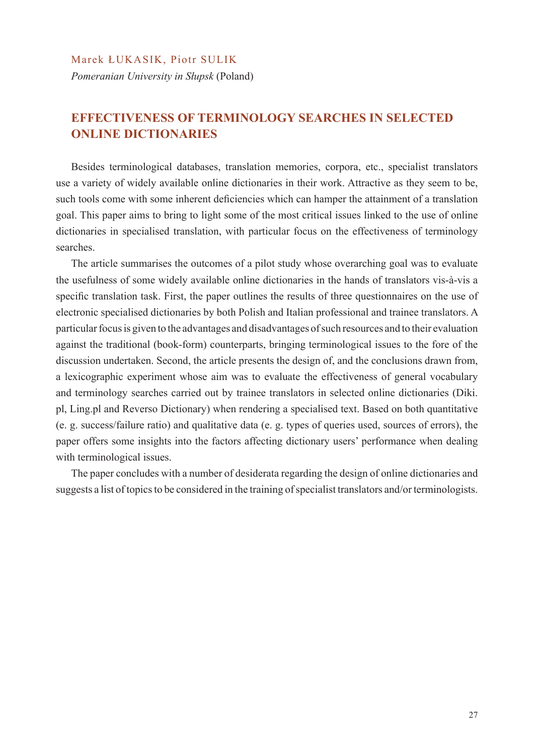#### Marek ŁUKASIK, Piotr SULIK

*Pomeranian University in Słupsk* (Poland)

## **EFFECTIVENESS OF TERMINOLOGY SEARCHES IN SELECTED ONLINE DICTIONARIES**

Besides terminological databases, translation memories, corpora, etc., specialist translators use a variety of widely available online dictionaries in their work. Attractive as they seem to be, such tools come with some inherent deficiencies which can hamper the attainment of a translation goal. This paper aims to bring to light some of the most critical issues linked to the use of online dictionaries in specialised translation, with particular focus on the effectiveness of terminology searches.

The article summarises the outcomes of a pilot study whose overarching goal was to evaluate the usefulness of some widely available online dictionaries in the hands of translators vis-à-vis a specific translation task. First, the paper outlines the results of three questionnaires on the use of electronic specialised dictionaries by both Polish and Italian professional and trainee translators. A particular focus is given to the advantages and disadvantages of such resources and to their evaluation against the traditional (book-form) counterparts, bringing terminological issues to the fore of the discussion undertaken. Second, the article presents the design of, and the conclusions drawn from, a lexicographic experiment whose aim was to evaluate the effectiveness of general vocabulary and terminology searches carried out by trainee translators in selected online dictionaries (Diki. pl, Ling.pl and Reverso Dictionary) when rendering a specialised text. Based on both quantitative (e. g. success/failure ratio) and qualitative data (e. g. types of queries used, sources of errors), the paper offers some insights into the factors affecting dictionary users' performance when dealing with terminological issues.

The paper concludes with a number of desiderata regarding the design of online dictionaries and suggests a list of topics to be considered in the training of specialist translators and/or terminologists.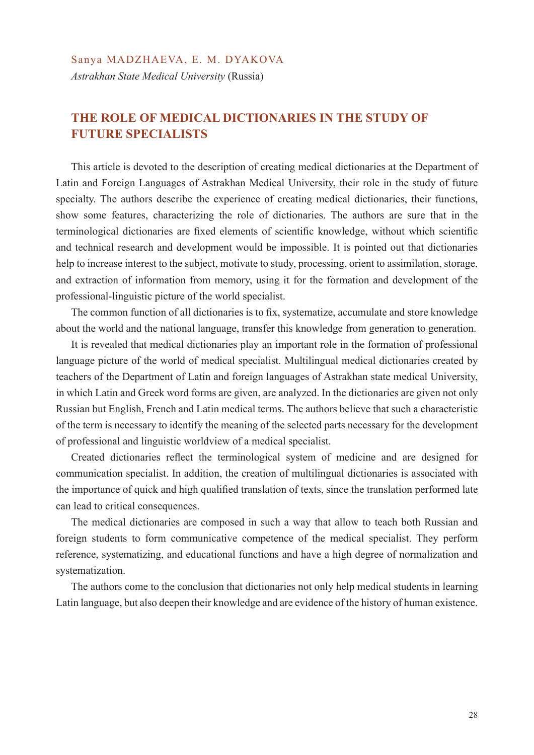## **THE ROLE OF MEDICAL DICTIONARIES IN THE STUDY OF FUTURE SPECIALISTS**

This article is devoted to the description of creating medical dictionaries at the Department of Latin and Foreign Languages of Astrakhan Medical University, their role in the study of future specialty. The authors describe the experience of creating medical dictionaries, their functions, show some features, characterizing the role of dictionaries. The authors are sure that in the terminological dictionaries are fixed elements of scientific knowledge, without which scientific and technical research and development would be impossible. It is pointed out that dictionaries help to increase interest to the subject, motivate to study, processing, orient to assimilation, storage, and extraction of information from memory, using it for the formation and development of the professional-linguistic picture of the world specialist.

The common function of all dictionaries is to fix, systematize, accumulate and store knowledge about the world and the national language, transfer this knowledge from generation to generation.

It is revealed that medical dictionaries play an important role in the formation of professional language picture of the world of medical specialist. Multilingual medical dictionaries created by teachers of the Department of Latin and foreign languages of Astrakhan state medical University, in which Latin and Greek word forms are given, are analyzed. In the dictionaries are given not only Russian but English, French and Latin medical terms. The authors believe that such a characteristic of the term is necessary to identify the meaning of the selected parts necessary for the development of professional and linguistic worldview of a medical specialist.

Created dictionaries reflect the terminological system of medicine and are designed for communication specialist. In addition, the creation of multilingual dictionaries is associated with the importance of quick and high qualified translation of texts, since the translation performed late can lead to critical consequences.

The medical dictionaries are composed in such a way that allow to teach both Russian and foreign students to form communicative competence of the medical specialist. They perform reference, systematizing, and educational functions and have a high degree of normalization and systematization.

The authors come to the conclusion that dictionaries not only help medical students in learning Latin language, but also deepen their knowledge and are evidence of the history of human existence.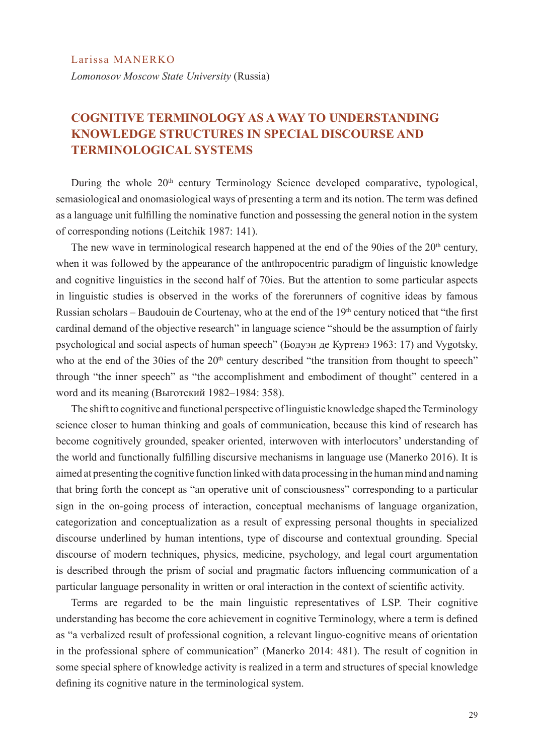## **COGNITIVE TERMINOLOGY AS A WAY TO UNDERSTANDING KNOWLEDGE STRUCTURES IN SPECIAL DISCOURSE AND TERMINOLOGICAL SYSTEMS**

During the whole  $20<sup>th</sup>$  century Terminology Science developed comparative, typological, semasiological and onomasiological ways of presenting a term and its notion. The term was defined as a language unit fulfilling the nominative function and possessing the general notion in the system of corresponding notions (Leitchik 1987: 141).

The new wave in terminological research happened at the end of the 90ies of the  $20<sup>th</sup>$  century, when it was followed by the appearance of the anthropocentric paradigm of linguistic knowledge and cognitive linguistics in the second half of 70ies. But the attention to some particular aspects in linguistic studies is observed in the works of the forerunners of cognitive ideas by famous Russian scholars – Baudouin de Courtenay, who at the end of the 19<sup>th</sup> century noticed that "the first cardinal demand of the objective research" in language science "should be the assumption of fairly psychological and social aspects of human speech" (Бодуэн де Куртенэ 1963: 17) and Vygotsky, who at the end of the 30ies of the 20<sup>th</sup> century described "the transition from thought to speech" through "the inner speech" as "the accomplishment and embodiment of thought" centered in a word and its meaning (Выготский 1982–1984: 358).

The shift to cognitive and functional perspective of linguistic knowledge shaped the Terminology science closer to human thinking and goals of communication, because this kind of research has become cognitively grounded, speaker oriented, interwoven with interlocutors' understanding of the world and functionally fulfilling discursive mechanisms in language use (Manerko 2016). It is aimed at presenting the cognitive function linked with data processing in the human mind and naming that bring forth the concept as "an operative unit of consciousness" corresponding to a particular sign in the on-going process of interaction, conceptual mechanisms of language organization, categorization and conceptualization as a result of expressing personal thoughts in specialized discourse underlined by human intentions, type of discourse and contextual grounding. Special discourse of modern techniques, physics, medicine, psychology, and legal court argumentation is described through the prism of social and pragmatic factors influencing communication of a particular language personality in written or oral interaction in the context of scientific activity.

Terms are regarded to be the main linguistic representatives of LSP. Their cognitive understanding has become the core achievement in cognitive Terminology, where a term is defined as "a verbalized result of professional cognition, a relevant linguo-cognitive means of orientation in the professional sphere of communication" (Manerko 2014: 481). The result of cognition in some special sphere of knowledge activity is realized in a term and structures of special knowledge defining its cognitive nature in the terminological system.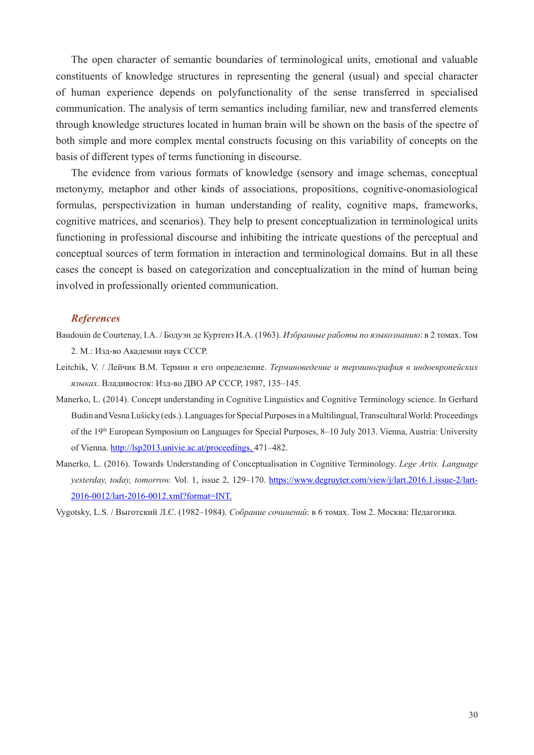The open character of semantic boundaries of terminological units, emotional and valuable constituents of knowledge structures in representing the general (usual) and special character of human experience depends on polyfunctionality of the sense transferred in specialised communication. The analysis of term semantics including familiar, new and transferred elements through knowledge structures located in human brain will be shown on the basis of the spectre of both simple and more complex mental constructs focusing on this variability of concepts on the basis of different types of terms functioning in discourse.

The evidence from various formats of knowledge (sensory and image schemas, conceptual metonymy, metaphor and other kinds of associations, propositions, cognitive-onomasiological formulas, perspectivization in human understanding of reality, cognitive maps, frameworks, cognitive matrices, and scenarios). They help to present conceptualization in terminological units functioning in professional discourse and inhibiting the intricate questions of the perceptual and conceptual sources of term formation in interaction and terminological domains. But in all these cases the concept is based on categorization and conceptualization in the mind of human being involved in professionally oriented communication.

#### *References*

- Baudouin de Courtenay, I.A. / Бодуэн де Куртенэ И.А. (1963). *Избранные работы по языкознанию*: в 2 томах. Том 2. М.: Изд-во Академии наук СССР.
- Leitchik, V. / Лейчик В.М. Термин и его определение. *Терминоведение и терминография в индоевропейских языках*. Владивосток: Изд-во ДВО АР СССР, 1987, 135–145.
- Manerko, L. (2014). Concept understanding in Cognitive Linguistics and Cognitive Terminology science. In Gerhard Budin and Vesna Luŝicky (eds.). Languages for Special Purposes in a Multilingual, Transcultural World: Proceedings of the 19<sup>th</sup> European Symposium on Languages for Special Purposes, 8–10 July 2013. Vienna, Austria: University of Vienna. http://lsp2013.univie.ac.at/proceedings, 471–482.
- Manerko, L. (2016). Towards Understanding of Conceptualisation in Cognitive Terminology. *Lege Artis. Language yesterday, today, tomorrow.* Vol. 1, issue 2, 129–170. https://www.degruyter.com/view/j/lart.2016.1.issue-2/lart-2016-0012/lart-2016-0012.xml?format=INT.

Vygotsky, L.S. / Выготский Л.С. (1982–1984). *Собрание сочинений*: в 6 томах. Том 2. Москва: Педагогика.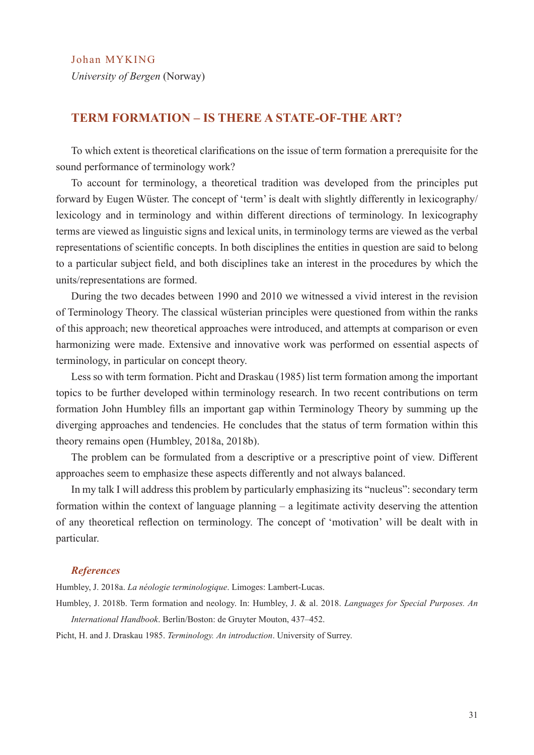Johan MYKING

*University of Bergen* (Norway)

## **TERM FORMATION – IS THERE A STATE-OF-THE ART?**

To which extent is theoretical clarifications on the issue of term formation a prerequisite for the sound performance of terminology work?

To account for terminology, a theoretical tradition was developed from the principles put forward by Eugen Wüster. The concept of 'term' is dealt with slightly differently in lexicography/ lexicology and in terminology and within different directions of terminology. In lexicography terms are viewed as linguistic signs and lexical units, in terminology terms are viewed as the verbal representations of scientific concepts. In both disciplines the entities in question are said to belong to a particular subject field, and both disciplines take an interest in the procedures by which the units/representations are formed.

During the two decades between 1990 and 2010 we witnessed a vivid interest in the revision of Terminology Theory. The classical wüsterian principles were questioned from within the ranks of this approach; new theoretical approaches were introduced, and attempts at comparison or even harmonizing were made. Extensive and innovative work was performed on essential aspects of terminology, in particular on concept theory.

Less so with term formation. Picht and Draskau (1985) list term formation among the important topics to be further developed within terminology research. In two recent contributions on term formation John Humbley fills an important gap within Terminology Theory by summing up the diverging approaches and tendencies. He concludes that the status of term formation within this theory remains open (Humbley, 2018a, 2018b).

The problem can be formulated from a descriptive or a prescriptive point of view. Different approaches seem to emphasize these aspects differently and not always balanced.

In my talk I will address this problem by particularly emphasizing its "nucleus": secondary term formation within the context of language planning – a legitimate activity deserving the attention of any theoretical reflection on terminology. The concept of 'motivation' will be dealt with in particular.

#### *References*

Humbley, J. 2018a. *La néologie terminologique*. Limoges: Lambert-Lucas.

Humbley, J. 2018b. Term formation and neology. In: Humbley, J. & al. 2018. *Languages for Special Purposes. An International Handbook*. Berlin/Boston: de Gruyter Mouton, 437–452.

Picht, H. and J. Draskau 1985. *Terminology. An introduction*. University of Surrey.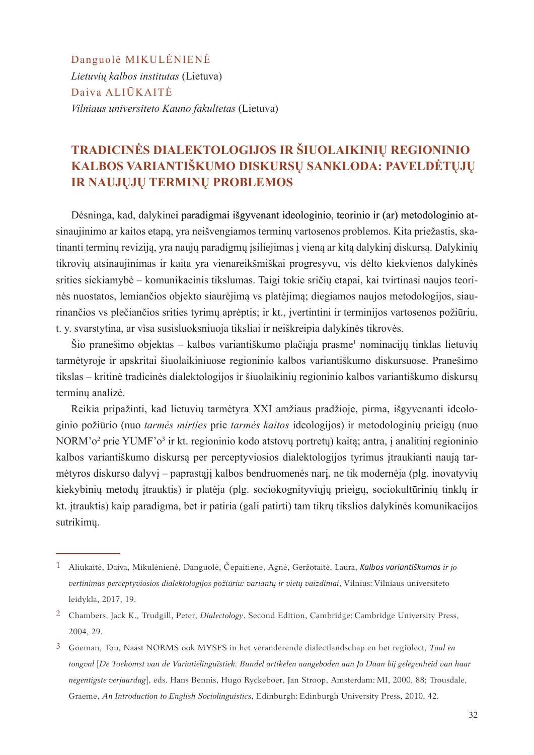Danguolė MIKULĖNIENĖ *Lietuvių kalbos institutas* (Lietuva) Daiva ALIŪKAITĖ *Vilniaus universiteto Kauno fakultetas* (Lietuva)

## **TRADICINĖS DIALEKTOLOGIJOS IR ŠIUOLAIKINIŲ REGIONINIO KALBOS VARIANTIŠKUMO DISKURSŲ SANKLODA: PAVELDĖTŲJŲ IR NAUJŲJŲ TERMINŲ PROBLEMOS**

Dėsninga, kad, dalykinei paradigmai išgyvenant ideologinio, teorinio ir (ar) metodologinio atsinaujinimo ar kaitos etapą, yra neišvengiamos terminų vartosenos problemos. Kita priežastis, skatinanti terminų reviziją, yra naujų paradigmų įsiliejimas į vieną ar kitą dalykinį diskursą. Dalykinių tikrovių atsinaujinimas ir kaita yra vienareikšmiškai progresyvu, vis dėlto kiekvienos dalykinės srities siekiamybė – komunikacinis tikslumas. Taigi tokie sričių etapai, kai tvirtinasi naujos teorinės nuostatos, lemiančios objekto siaurėjimą vs platėjimą; diegiamos naujos metodologijos, siaurinančios vs plečiančios srities tyrimų aprėptis; ir kt., įvertintini ir terminijos vartosenos požiūriu, t. y. svarstytina, ar vìsa susisluoksniuoja tiksliai ir neiškreipia dalykinės tikrovės.

Šio pranešimo objektas – kalbos variantiškumo plačiąja prasme<sup>1</sup> nominacijų tinklas lietuvių tarmėtyroje ir apskritai šiuolaikiniuose regioninio kalbos variantiškumo diskursuose. Pranešimo tikslas – kritinė tradicinės dialektologijos ir šiuolaikinių regioninio kalbos variantiškumo diskursų terminų analizė.

Reikia pripažinti, kad lietuvių tarmėtyra XXI amžiaus pradžioje, pirma, išgyvenanti ideologinio požiūrio (nuo *tarmės mirties* prie *tarmės kaitos* ideologijos) ir metodologinių prieigų (nuo NORM'o<sup>2</sup> prie YUMF'o<sup>3</sup> ir kt. regioninio kodo atstovų portretų) kaitą; antra, į analitinį regioninio kalbos variantiškumo diskursą per perceptyviosios dialektologijos tyrimus įtraukianti naują tarmėtyros diskurso dalyvį – paprastąjį kalbos bendruomenės narį, ne tik modernėja (plg. inovatyvių kiekybinių metodų įtrauktis) ir platėja (plg. sociokognityviųjų prieigų, sociokultūrinių tinklų ir kt. įtrauktis) kaip paradigma, bet ir patiria (gali patirti) tam tikrų tikslios dalykinės komunikacijos sutrikimų.

<sup>1</sup> Aliūkaitė, Daiva, Mikulėnienė, Danguolė, Čepaitienė, Agnė, Geržotaitė, Laura, *Kalbos variantiškumas ir jo vertinimas perceptyviosios dialektologijos požiūriu: variantų ir vietų vaizdiniai*, Vilnius: Vilniaus universiteto leidykla, 2017, 19.

<sup>2</sup> Chambers, Jack K., Trudgill, Peter, *Dialectology*. Second Edition, Cambridge: Cambridge University Press, 2004, 29.

<sup>3</sup> Goeman, Ton, Naast NORMS ook MYSFS in het veranderende dialectlandschap en het regiolect, *Taal en tongval* [*De Toekomst van de Variatielinguïstiek. Bundel artikelen aangeboden aan Jo Daan bij gelegenheid van haar negentigste verjaardag*], eds. Hans Bennis, Hugo Ryckeboer, Jan Stroop, Amsterdam: MI, 2000, 88; Trousdale, Graeme, *An Introduction to English Sociolinguistics*, Edinburgh: Edinburgh University Press, 2010, 42.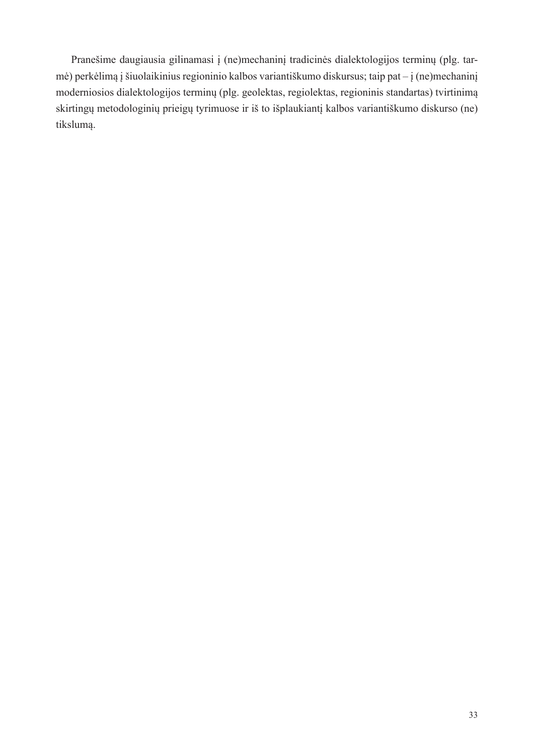Pranešime daugiausia gilinamasi į (ne)mechaninį tradicinės dialektologijos terminų (plg. tarmė) perkėlimą į šiuolaikinius regioninio kalbos variantiškumo diskursus; taip pat – į (ne)mechaninį moderniosios dialektologijos terminų (plg. geolektas, regiolektas, regioninis standartas) tvirtinimą skirtingų metodologinių prieigų tyrimuose ir iš to išplaukiantį kalbos variantiškumo diskurso (ne) tikslumą.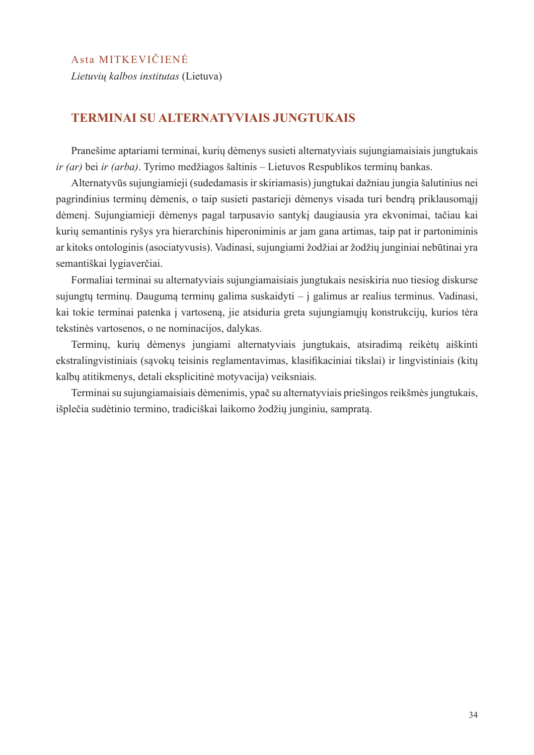#### Asta MITKEVIČIENĖ

*Lietuvių kalbos institutas* (Lietuva)

#### **TERMINAI SU ALTERNATYVIAIS JUNGTUKAIS**

Pranešime aptariami terminai, kurių dėmenys susieti alternatyviais sujungiamaisiais jungtukais *ir (ar)* bei *ir (arba)*. Tyrimo medžiagos šaltinis – Lietuvos Respublikos terminų bankas.

Alternatyvūs sujungiamieji (sudedamasis ir skiriamasis) jungtukai dažniau jungia šalutinius nei pagrindinius terminų dėmenis, o taip susieti pastarieji dėmenys visada turi bendrą priklausomąjį dėmenį. Sujungiamieji dėmenys pagal tarpusavio santykį daugiausia yra ekvonimai, tačiau kai kurių semantinis ryšys yra hierarchinis hiperoniminis ar jam gana artimas, taip pat ir partoniminis ar kitoks ontologinis (asociatyvusis). Vadinasi, sujungiami žodžiai ar žodžių junginiai nebūtinai yra semantiškai lygiaverčiai.

Formaliai terminai su alternatyviais sujungiamaisiais jungtukais nesiskiria nuo tiesiog diskurse sujungtų terminų. Daugumą terminų galima suskaidyti – į galimus ar realius terminus. Vadinasi, kai tokie terminai patenka į vartoseną, jie atsiduria greta sujungiamųjų konstrukcijų, kurios tėra tekstinės vartosenos, o ne nominacijos, dalykas.

Terminų, kurių dėmenys jungiami alternatyviais jungtukais, atsiradimą reikėtų aiškinti ekstralingvistiniais (sąvokų teisinis reglamentavimas, klasifikaciniai tikslai) ir lingvistiniais (kitų kalbų atitikmenys, detali eksplicitinė motyvacija) veiksniais.

Terminai su sujungiamaisiais dėmenimis, ypač su alternatyviais priešingos reikšmės jungtukais, išplečia sudėtinio termino, tradiciškai laikomo žodžių junginiu, sampratą.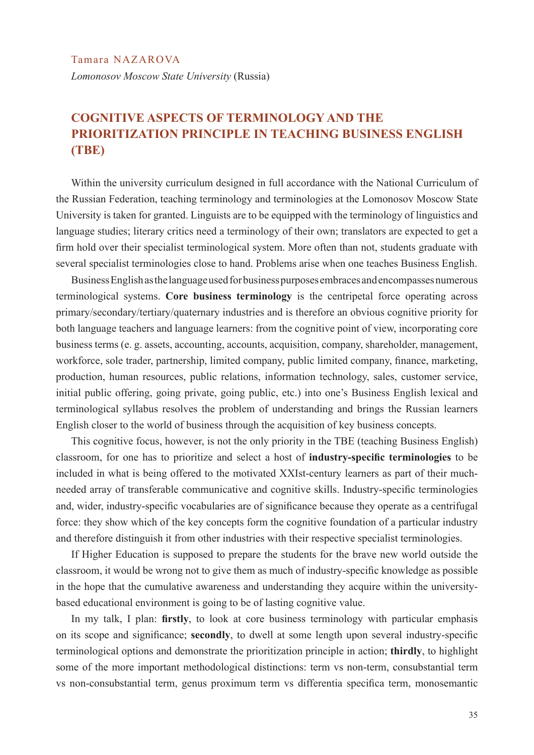Tamara NAZAROVA *Lomonosov Moscow State University* (Russia)

## **COGNITIVE ASPECTS OF TERMINOLOGY AND THE PRIORITIZATION PRINCIPLE IN TEACHING BUSINESS ENGLISH (TBE)**

Within the university curriculum designed in full accordance with the National Curriculum of the Russian Federation, teaching terminology and terminologies at the Lomonosov Moscow State University is taken for granted. Linguists are to be equipped with the terminology of linguistics and language studies; literary critics need a terminology of their own; translators are expected to get a firm hold over their specialist terminological system. More often than not, students graduate with several specialist terminologies close to hand. Problems arise when one teaches Business English.

Business English as the language used for business purposes embraces and encompasses numerous terminological systems. **Core business terminology** is the centripetal force operating across primary/secondary/tertiary/quaternary industries and is therefore an obvious cognitive priority for both language teachers and language learners: from the cognitive point of view, incorporating core business terms (e. g. assets, accounting, accounts, acquisition, company, shareholder, management, workforce, sole trader, partnership, limited company, public limited company, finance, marketing, production, human resources, public relations, information technology, sales, customer service, initial public offering, going private, going public, etc.) into one's Business English lexical and terminological syllabus resolves the problem of understanding and brings the Russian learners English closer to the world of business through the acquisition of key business concepts.

This cognitive focus, however, is not the only priority in the TBE (teaching Business English) classroom, for one has to prioritize and select a host of **industry-specific terminologies** to be included in what is being offered to the motivated XXIst-century learners as part of their muchneeded array of transferable communicative and cognitive skills. Industry-specific terminologies and, wider, industry-specific vocabularies are of significance because they operate as a centrifugal force: they show which of the key concepts form the cognitive foundation of a particular industry and therefore distinguish it from other industries with their respective specialist terminologies.

If Higher Education is supposed to prepare the students for the brave new world outside the classroom, it would be wrong not to give them as much of industry-specific knowledge as possible in the hope that the cumulative awareness and understanding they acquire within the universitybased educational environment is going to be of lasting cognitive value.

In my talk, I plan: **firstly**, to look at core business terminology with particular emphasis on its scope and significance; **secondly**, to dwell at some length upon several industry-specific terminological options and demonstrate the prioritization principle in action; **thirdly**, to highlight some of the more important methodological distinctions: term vs non-term, consubstantial term vs non-consubstantial term, genus proximum term vs differentia specifica term, monosemantic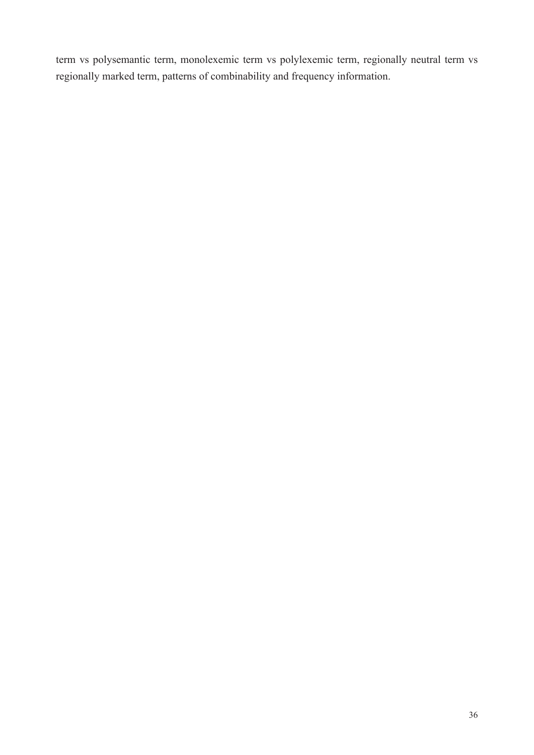term vs polysemantic term, monolexemic term vs polylexemic term, regionally neutral term vs regionally marked term, patterns of combinability and frequency information.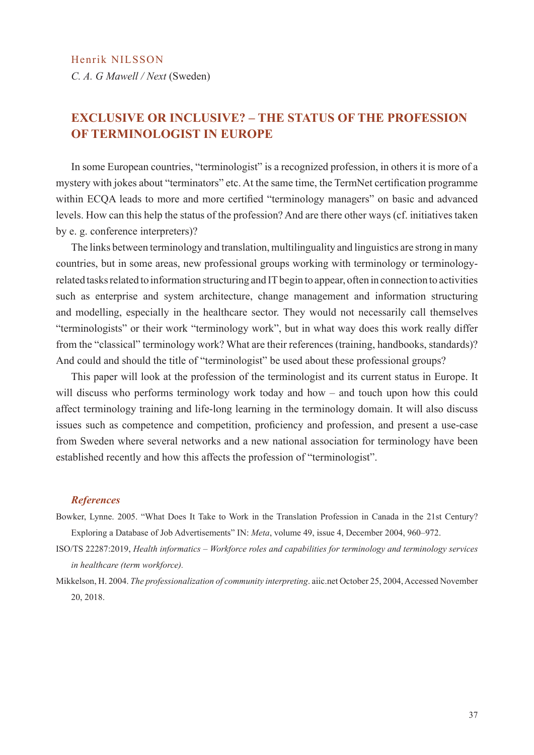*C. A. G Mawell / Next* (Sweden)

## **EXCLUSIVE OR INCLUSIVE? – THE STATUS OF THE PROFESSION OF TERMINOLOGIST IN EUROPE**

In some European countries, "terminologist" is a recognized profession, in others it is more of a mystery with jokes about "terminators" etc. At the same time, the TermNet certification programme within ECQA leads to more and more certified "terminology managers" on basic and advanced levels. How can this help the status of the profession? And are there other ways (cf. initiatives taken by e. g. conference interpreters)?

The links between terminology and translation, multilinguality and linguistics are strong in many countries, but in some areas, new professional groups working with terminology or terminologyrelated tasks related to information structuring and IT begin to appear, often in connection to activities such as enterprise and system architecture, change management and information structuring and modelling, especially in the healthcare sector. They would not necessarily call themselves "terminologists" or their work "terminology work", but in what way does this work really differ from the "classical" terminology work? What are their references (training, handbooks, standards)? And could and should the title of "terminologist" be used about these professional groups?

This paper will look at the profession of the terminologist and its current status in Europe. It will discuss who performs terminology work today and how – and touch upon how this could affect terminology training and life-long learning in the terminology domain. It will also discuss issues such as competence and competition, proficiency and profession, and present a use-case from Sweden where several networks and a new national association for terminology have been established recently and how this affects the profession of "terminologist".

#### *References*

- Bowker, Lynne. 2005. "What Does It Take to Work in the Translation Profession in Canada in the 21st Century? Exploring a Database of Job Advertisements" IN: *Meta*, volume 49, issue 4, December 2004, 960–972.
- ISO/TS 22287:2019, *Health informatics Workforce roles and capabilities for terminology and terminology services in healthcare (term workforce).*
- Mikkelson, H. 2004. *The professionalization of community interpreting*. aiic.net October 25, 2004, Accessed November 20, 2018.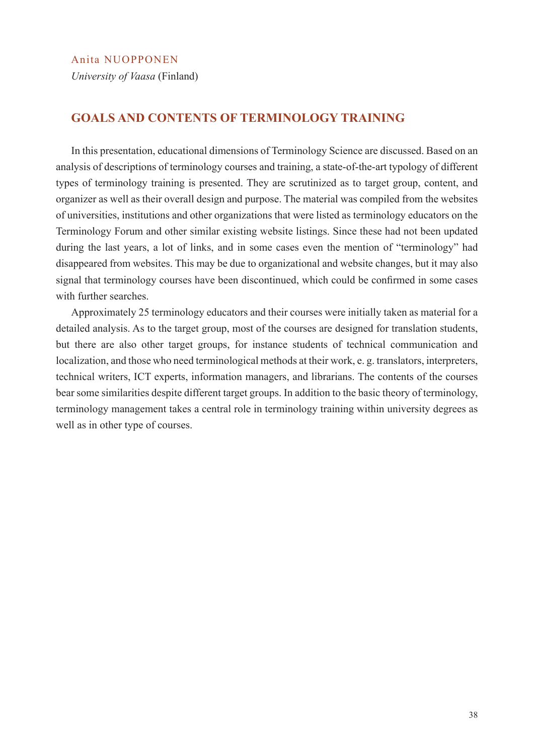#### Anita NUOPPONEN

*University of Vaasa* (Finland)

#### **GOALS AND CONTENTS OF TERMINOLOGY TRAINING**

In this presentation, educational dimensions of Terminology Science are discussed. Based on an analysis of descriptions of terminology courses and training, a state-of-the-art typology of different types of terminology training is presented. They are scrutinized as to target group, content, and organizer as well as their overall design and purpose. The material was compiled from the websites of universities, institutions and other organizations that were listed as terminology educators on the Terminology Forum and other similar existing website listings. Since these had not been updated during the last years, a lot of links, and in some cases even the mention of "terminology" had disappeared from websites. This may be due to organizational and website changes, but it may also signal that terminology courses have been discontinued, which could be confirmed in some cases with further searches.

Approximately 25 terminology educators and their courses were initially taken as material for a detailed analysis. As to the target group, most of the courses are designed for translation students, but there are also other target groups, for instance students of technical communication and localization, and those who need terminological methods at their work, e. g. translators, interpreters, technical writers, ICT experts, information managers, and librarians. The contents of the courses bear some similarities despite different target groups. In addition to the basic theory of terminology, terminology management takes a central role in terminology training within university degrees as well as in other type of courses.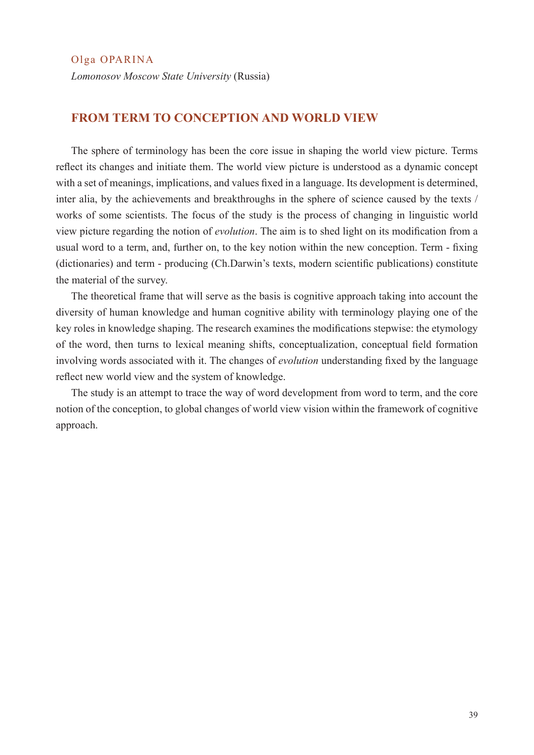Olga OPARINA

*Lomonosov Moscow State University* (Russia)

## **FROM TERM TO CONCEPTION AND WORLD VIEW**

The sphere of terminology has been the core issue in shaping the world view picture. Terms reflect its changes and initiate them. The world view picture is understood as a dynamic concept with a set of meanings, implications, and values fixed in a language. Its development is determined, inter alia, by the achievements and breakthroughs in the sphere of science caused by the texts / works of some scientists. The focus of the study is the process of changing in linguistic world view picture regarding the notion of *evolution*. The aim is to shed light on its modification from a usual word to a term, and, further on, to the key notion within the new conception. Term - fixing (dictionaries) and term - producing (Ch.Darwin's texts, modern scientific publications) constitute the material of the survey.

The theoretical frame that will serve as the basis is cognitive approach taking into account the diversity of human knowledge and human cognitive ability with terminology playing one of the key roles in knowledge shaping. The research examines the modifications stepwise: the etymology of the word, then turns to lexical meaning shifts, conceptualization, conceptual field formation involving words associated with it. The changes of *evolution* understanding fixed by the language reflect new world view and the system of knowledge.

The study is an attempt to trace the way of word development from word to term, and the core notion of the conception, to global changes of world view vision within the framework of cognitive approach.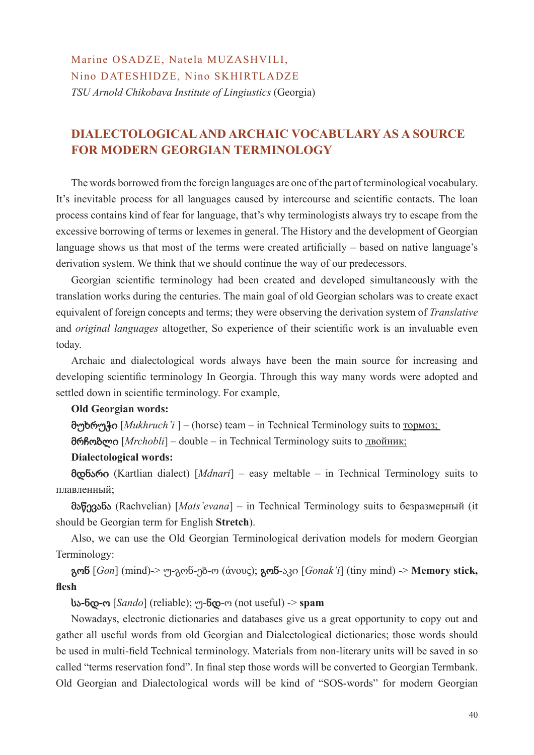Marine OSADZE, Natela MUZASHVILI, Nino DATESHIDZE, Nino SKHIRTLADZE *TSU Arnold Chikobava Institute of Lingiustics* (Georgia)

## **DIALECTOLOGICAL AND ARCHAIC VOCABULARY AS A SOURCE FOR MODERN GEORGIAN TERMINOLOGY**

The words borrowed from the foreign languages are one of the part of terminological vocabulary. It's inevitable process for all languages caused by intercourse and scientific contacts. The loan process contains kind of fear for language, that's why terminologists always try to escape from the excessive borrowing of terms or lexemes in general. The History and the development of Georgian language shows us that most of the terms were created artificially – based on native language's derivation system. We think that we should continue the way of our predecessors.

Georgian scientific terminology had been created and developed simultaneously with the translation works during the centuries. The main goal of old Georgian scholars was to create exact equivalent of foreign concepts and terms; they were observing the derivation system of *Translative*  and *original languages* altogether, So experience of their scientific work is an invaluable even today.

Archaic and dialectological words always have been the main source for increasing and developing scientific terminology In Georgia. Through this way many words were adopted and settled down in scientific terminology. For example,

#### **Old Georgian words:**

მუხრუჭი [*Mukhruch'i* ] – (horse) team – in Technical Terminology suits to тормоз;

მრჩობლი [*Mrchobli*] – double – in Technical Terminology suits to двойник;

#### **Dialectological words:**

მდნარი (Kartlian dialect) [*Mdnari*] – easy meltable – in Technical Terminology suits to плавленный;

მაწევანა (Rachvelian) [*Mats'evana*] – in Technical Terminology suits to безразмерный (it should be Georgian term for English **Stretch**).

Also, we can use the Old Georgian Terminological derivation models for modern Georgian Terminology:

გონ [*Gon*] (mind)-> უ-გონ-ებ-ო (άνους); გონ-აკი [*Gonak'i*] (tiny mind) -> **Memory stick, flesh**

#### სა**-**ნდ**-**ო [*Sando*] (reliable); უ-ნდ-ო (not useful) -> **spam**

Nowadays, electronic dictionaries and databases give us a great opportunity to copy out and gather all useful words from old Georgian and Dialectological dictionaries; those words should be used in multi-field Technical terminology. Materials from non-literary units will be saved in so called "terms reservation fond". In final step those words will be converted to Georgian Termbank. Old Georgian and Dialectological words will be kind of "SOS-words" for modern Georgian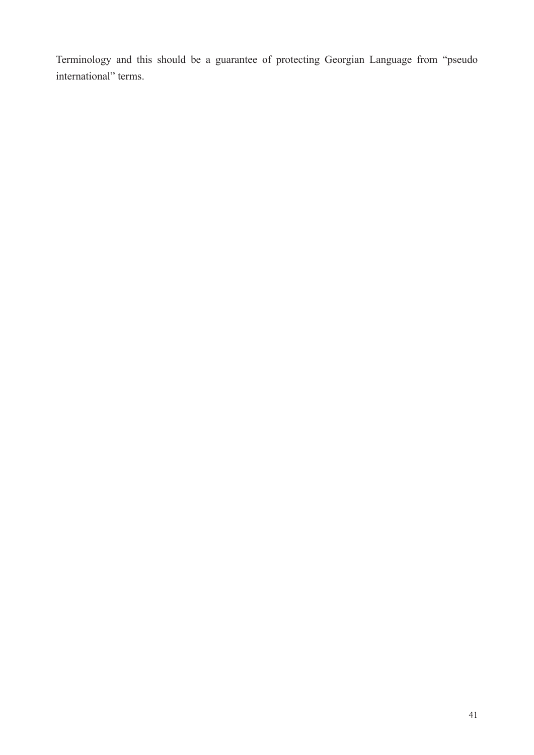Terminology and this should be a guarantee of protecting Georgian Language from "pseudo international" terms.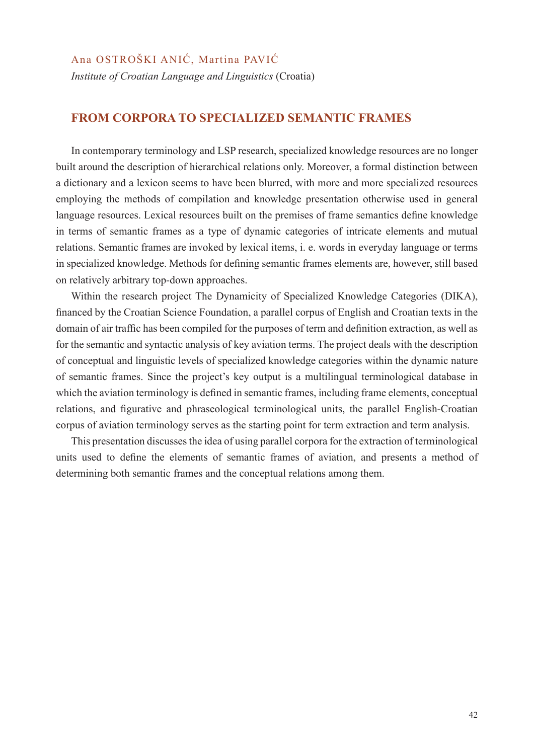#### Ana OSTROŠKI ANIĆ, Martina PAVIĆ

*Institute of Croatian Language and Linguistics* (Croatia)

#### **FROM CORPORA TO SPECIALIZED SEMANTIC FRAMES**

In contemporary terminology and LSP research, specialized knowledge resources are no longer built around the description of hierarchical relations only. Moreover, a formal distinction between a dictionary and a lexicon seems to have been blurred, with more and more specialized resources employing the methods of compilation and knowledge presentation otherwise used in general language resources. Lexical resources built on the premises of frame semantics define knowledge in terms of semantic frames as a type of dynamic categories of intricate elements and mutual relations. Semantic frames are invoked by lexical items, i. e. words in everyday language or terms in specialized knowledge. Methods for defining semantic frames elements are, however, still based on relatively arbitrary top-down approaches.

Within the research project The Dynamicity of Specialized Knowledge Categories (DIKA), financed by the Croatian Science Foundation, a parallel corpus of English and Croatian texts in the domain of air traffic has been compiled for the purposes of term and definition extraction, as well as for the semantic and syntactic analysis of key aviation terms. The project deals with the description of conceptual and linguistic levels of specialized knowledge categories within the dynamic nature of semantic frames. Since the project's key output is a multilingual terminological database in which the aviation terminology is defined in semantic frames, including frame elements, conceptual relations, and figurative and phraseological terminological units, the parallel English-Croatian corpus of aviation terminology serves as the starting point for term extraction and term analysis.

This presentation discusses the idea of using parallel corpora for the extraction of terminological units used to define the elements of semantic frames of aviation, and presents a method of determining both semantic frames and the conceptual relations among them.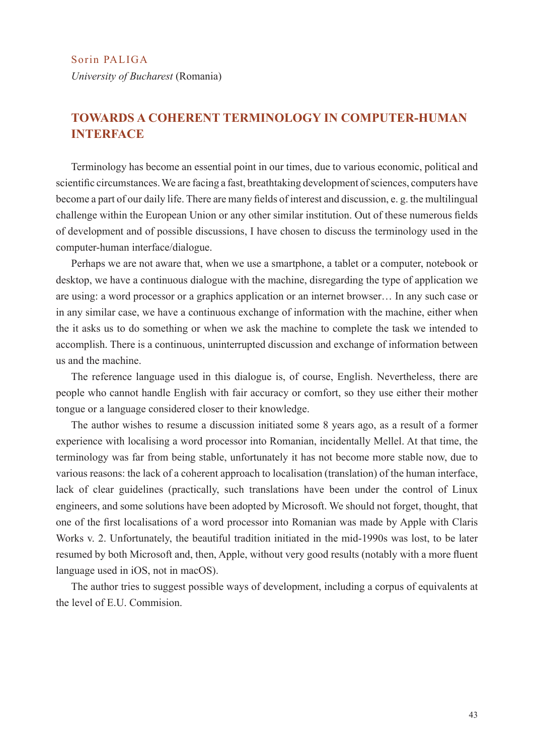*University of Bucharest* (Romania)

## **TOWARDS A COHERENT TERMINOLOGY IN COMPUTER-HUMAN INTERFACE**

Terminology has become an essential point in our times, due to various economic, political and scientific circumstances. We are facing a fast, breathtaking development of sciences, computers have become a part of our daily life. There are many fields of interest and discussion, e. g. the multilingual challenge within the European Union or any other similar institution. Out of these numerous fields of development and of possible discussions, I have chosen to discuss the terminology used in the computer-human interface/dialogue.

Perhaps we are not aware that, when we use a smartphone, a tablet or a computer, notebook or desktop, we have a continuous dialogue with the machine, disregarding the type of application we are using: a word processor or a graphics application or an internet browser… In any such case or in any similar case, we have a continuous exchange of information with the machine, either when the it asks us to do something or when we ask the machine to complete the task we intended to accomplish. There is a continuous, uninterrupted discussion and exchange of information between us and the machine.

The reference language used in this dialogue is, of course, English. Nevertheless, there are people who cannot handle English with fair accuracy or comfort, so they use either their mother tongue or a language considered closer to their knowledge.

The author wishes to resume a discussion initiated some 8 years ago, as a result of a former experience with localising a word processor into Romanian, incidentally Mellel. At that time, the terminology was far from being stable, unfortunately it has not become more stable now, due to various reasons: the lack of a coherent approach to localisation (translation) of the human interface, lack of clear guidelines (practically, such translations have been under the control of Linux engineers, and some solutions have been adopted by Microsoft. We should not forget, thought, that one of the first localisations of a word processor into Romanian was made by Apple with Claris Works v. 2. Unfortunately, the beautiful tradition initiated in the mid-1990s was lost, to be later resumed by both Microsoft and, then, Apple, without very good results (notably with a more fluent language used in iOS, not in macOS).

The author tries to suggest possible ways of development, including a corpus of equivalents at the level of E.U. Commision.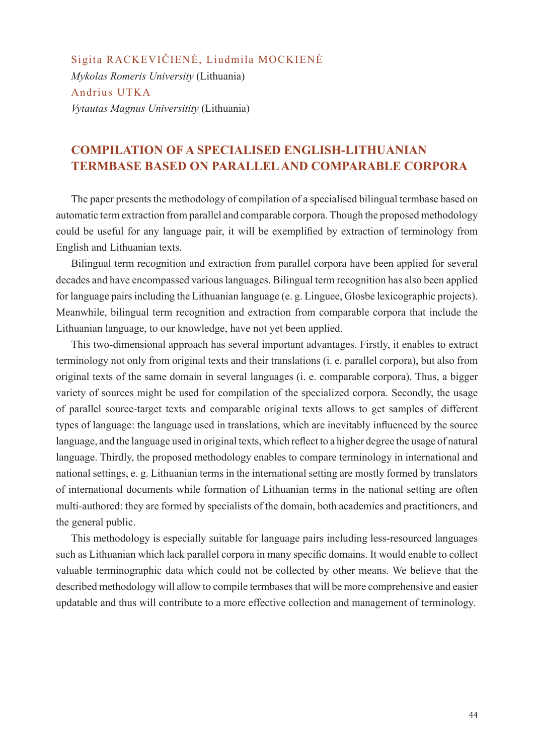Sigita RACKEVIČIENĖ, Liudmila MOCKIENĖ *Mykolas Romeris University* (Lithuania) Andrius UTKA *Vytautas Magnus Universitity* (Lithuania)

## **COMPILATION OF A SPECIALISED ENGLISH-LITHUANIAN TERMBASE BASED ON PARALLEL AND COMPARABLE CORPORA**

The paper presents the methodology of compilation of a specialised bilingual termbase based on automatic term extraction from parallel and comparable corpora. Though the proposed methodology could be useful for any language pair, it will be exemplified by extraction of terminology from English and Lithuanian texts.

Bilingual term recognition and extraction from parallel corpora have been applied for several decades and have encompassed various languages. Bilingual term recognition has also been applied for language pairs including the Lithuanian language (e. g. Linguee, Glosbe lexicographic projects). Meanwhile, bilingual term recognition and extraction from comparable corpora that include the Lithuanian language, to our knowledge, have not yet been applied.

This two-dimensional approach has several important advantages. Firstly, it enables to extract terminology not only from original texts and their translations (i. e. parallel corpora), but also from original texts of the same domain in several languages (i. e. comparable corpora). Thus, a bigger variety of sources might be used for compilation of the specialized corpora. Secondly, the usage of parallel source-target texts and comparable original texts allows to get samples of different types of language: the language used in translations, which are inevitably influenced by the source language, and the language used in original texts, which reflect to a higher degree the usage of natural language. Thirdly, the proposed methodology enables to compare terminology in international and national settings, e. g. Lithuanian terms in the international setting are mostly formed by translators of international documents while formation of Lithuanian terms in the national setting are often multi-authored: they are formed by specialists of the domain, both academics and practitioners, and the general public.

This methodology is especially suitable for language pairs including less-resourced languages such as Lithuanian which lack parallel corpora in many specific domains. It would enable to collect valuable terminographic data which could not be collected by other means. We believe that the described methodology will allow to compile termbases that will be more comprehensive and easier updatable and thus will contribute to a more effective collection and management of terminology.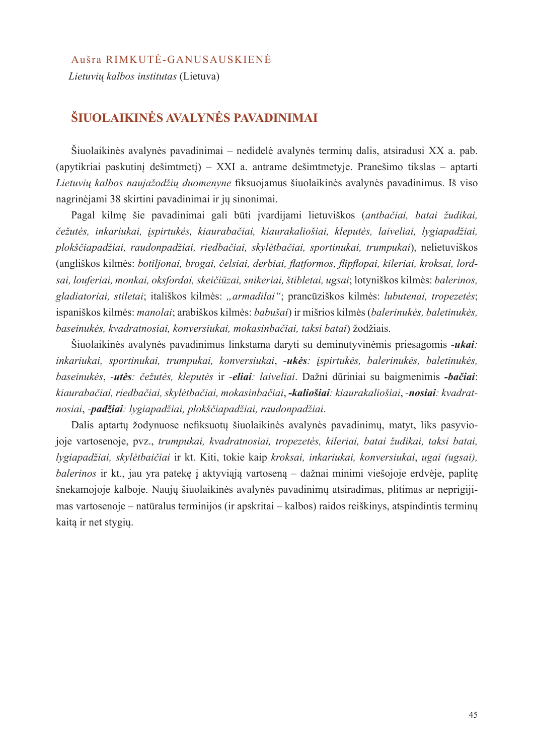#### Aušra RIMKUTĖ-GANUSAUSKIENĖ

*Lietuvių kalbos institutas* (Lietuva)

## **ŠIUOLAIKINĖS AVALYNĖS PAVADINIMAI**

Šiuolaikinės avalynės pavadinimai – nedidelė avalynės terminų dalis, atsiradusi XX a. pab. (apytikriai paskutinį dešimtmetį) – XXI a. antrame dešimtmetyje. Pranešimo tikslas – aptarti *Lietuvių kalbos naujažodžių duomenyne* fiksuojamus šiuolaikinės avalynės pavadinimus. Iš viso nagrinėjami 38 skirtini pavadinimai ir jų sinonimai.

Pagal kilmę šie pavadinimai gali būti įvardijami lietuviškos (*antbačiai, batai žudikai, čežutės, inkariukai, įspirtukės, kiaurabačiai, kiaurakaliošiai, kleputės, laiveliai, lygiapadžiai, plokščiapadžiai, raudonpadžiai, riedbačiai, skylėtbačiai, sportinukai, trumpukai*), nelietuviškos (angliškos kilmės: *botiljonai, brogai, čelsiai, derbiai, flatformos, flipflopai, kileriai, kroksai, lordsai, louferiai, monkai, oksfordai, skeičiūzai, snikeriai, štibletai, ugsai*; lotyniškos kilmės: *balerinos, gladiatoriai, stiletai*; itališkos kilmės: *"armadilai"*; prancūziškos kilmės: *lubutenai, tropezetės*; ispaniškos kilmės: *manolai*; arabiškos kilmės: *babušai*) ir mišrios kilmės (*balerinukės, baletinukės, baseinukės, kvadratnosiai, konversiukai, mokasinbačiai, taksi batai*) žodžiais.

Šiuolaikinės avalynės pavadinimus linkstama daryti su deminutyvinėmis priesagomis *-ukai: inkariukai, sportinukai, trumpukai, konversiukai*, *-ukės: įspirtukės, balerinukės, baletinukės, baseinukės*, *-utės: čežutės, kleputės* ir *-eliai: laiveliai*. Dažni dūriniai su baigmenimis *-bačiai*: *kiaurabačiai, riedbačiai, skylėtbačiai, mokasinbačiai*, *-kaliošiai: kiaurakaliošiai*, *-nosiai: kvadratnosiai*, *-padžiai: lygiapadžiai, plokščiapadžiai, raudonpadžiai*.

Dalis aptartų žodynuose nefiksuotų šiuolaikinės avalynės pavadinimų, matyt, liks pasyviojoje vartosenoje, pvz., *trumpukai, kvadratnosiai, tropezetės, kileriai, batai žudikai, taksi batai, lygiapadžiai, skylėtbaičiai* ir kt. Kiti, tokie kaip *kroksai, inkariukai, konversiukai*, *ugai (ugsai), balerinos* ir kt., jau yra patekę į aktyviąją vartoseną – dažnai minimi viešojoje erdvėje, paplitę šnekamojoje kalboje. Naujų šiuolaikinės avalynės pavadinimų atsiradimas, plitimas ar neprigijimas vartosenoje – natūralus terminijos (ir apskritai – kalbos) raidos reiškinys, atspindintis terminų kaitą ir net stygių.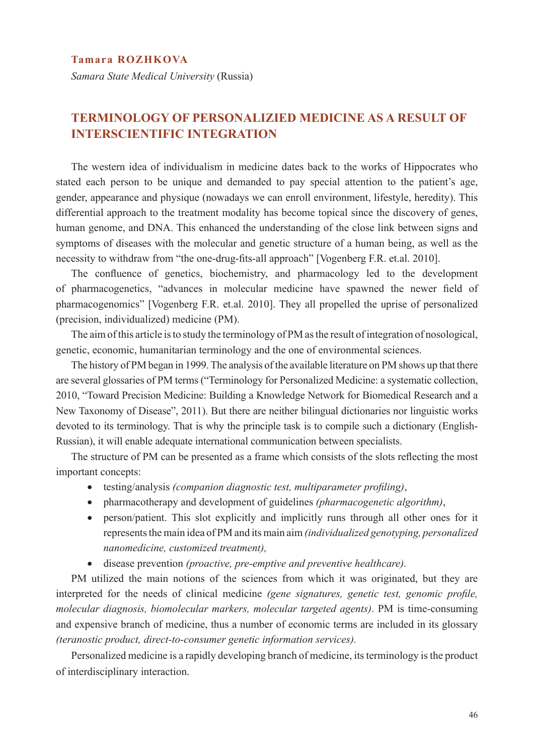#### **Tamara ROZHKOVA**

*Samara State Medical University* (Russia)

## **TERMINOLOGY OF PERSONALIZIED MEDICINE AS A RESULT OF INTERSCIENTIFIC INTEGRATION**

The western idea of individualism in medicine dates back to the works of Hippocrates who stated each person to be unique and demanded to pay special attention to the patient's age, gender, appearance and physique (nowadays we can enroll environment, lifestyle, heredity). This differential approach to the treatment modality has become topical since the discovery of genes, human genome, and DNA. This enhanced the understanding of the close link between signs and symptoms of diseases with the molecular and genetic structure of a human being, as well as the necessity to withdraw from "the one-drug-fits-all approach" [Vogenberg F.R. et.al. 2010].

The confluence of genetics, biochemistry, and pharmacology led to the development of pharmacogenetics, "advances in molecular medicine have spawned the newer field of pharmacogenomics" [Vogenberg F.R. et.al. 2010]. They all propelled the uprise of personalized (precision, individualized) medicine (PM).

The aim of this article is to study the terminology of PM as the result of integration of nosological, genetic, economic, humanitarian terminology and the one of environmental sciences.

The history of PM began in 1999. The analysis of the available literature on PM shows up that there are several glossaries of PM terms ("Terminology for Personalized Medicine: a systematic collection, 2010, "Toward Precision Medicine: Building a Knowledge Network for Biomedical Research and a New Taxonomy of Disease", 2011). But there are neither bilingual dictionaries nor linguistic works devoted to its terminology. That is why the principle task is to compile such a dictionary (English-Russian), it will enable adequate international communication between specialists.

The structure of PM can be presented as a frame which consists of the slots reflecting the most important concepts:

- • testing/analysis *(companion diagnostic test, multiparameter profiling)*,
- • pharmacotherapy and development of guidelines *(pharmacogenetic algorithm)*,
- person/patient. This slot explicitly and implicitly runs through all other ones for it represents the main idea of PM and its main aim *(individualized genotyping, personalized nanomedicine, customized treatment),*
- • disease prevention *(proactive, pre-emptive and preventive healthcare).*

PM utilized the main notions of the sciences from which it was originated, but they are interpreted for the needs of clinical medicine *(gene signatures, genetic test, genomic profile, molecular diagnosis, biomolecular markers, molecular targeted agents)*. PM is time-consuming and expensive branch of medicine, thus a number of economic terms are included in its glossary *(teranostic product, direct-to-consumer genetic information services).*

Personalized medicine is a rapidly developing branch of medicine, its terminology is the product of interdisciplinary interaction.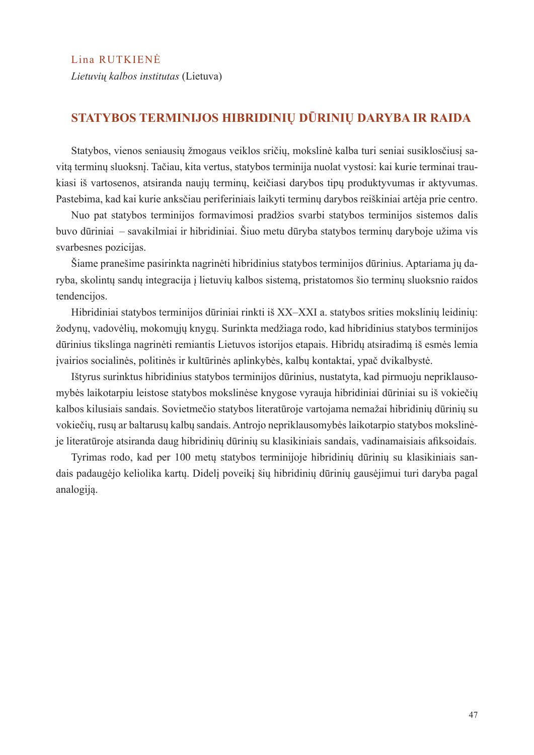*Lietuvių kalbos institutas* (Lietuva)

## **STATYBOS TERMINIJOS HIBRIDINIŲ DŪRINIŲ DARYBA IR RAIDA**

Statybos, vienos seniausių žmogaus veiklos sričių, mokslinė kalba turi seniai susiklosčiusį savitą terminų sluoksnį. Tačiau, kita vertus, statybos terminija nuolat vystosi: kai kurie terminai traukiasi iš vartosenos, atsiranda naujų terminų, keičiasi darybos tipų produktyvumas ir aktyvumas. Pastebima, kad kai kurie anksčiau periferiniais laikyti terminų darybos reiškiniai artėja prie centro.

Nuo pat statybos terminijos formavimosi pradžios svarbi statybos terminijos sistemos dalis buvo dūriniai – savakilmiai ir hibridiniai. Šiuo metu dūryba statybos terminų daryboje užima vis svarbesnes pozicijas.

Šiame pranešime pasirinkta nagrinėti hibridinius statybos terminijos dūrinius. Aptariama jų daryba, skolintų sandų integracija į lietuvių kalbos sistemą, pristatomos šio terminų sluoksnio raidos tendencijos.

Hibridiniai statybos terminijos dūriniai rinkti iš XX–XXI a. statybos srities mokslinių leidinių: žodynų, vadovėlių, mokomųjų knygų. Surinkta medžiaga rodo, kad hibridinius statybos terminijos dūrinius tikslinga nagrinėti remiantis Lietuvos istorijos etapais. Hibridų atsiradimą iš esmės lemia įvairios socialinės, politinės ir kultūrinės aplinkybės, kalbų kontaktai, ypač dvikalbystė.

Ištyrus surinktus hibridinius statybos terminijos dūrinius, nustatyta, kad pirmuoju nepriklausomybės laikotarpiu leistose statybos mokslinėse knygose vyrauja hibridiniai dūriniai su iš vokiečių kalbos kilusiais sandais. Sovietmečio statybos literatūroje vartojama nemažai hibridinių dūrinių su vokiečių, rusų ar baltarusų kalbų sandais. Antrojo nepriklausomybės laikotarpio statybos mokslinėje literatūroje atsiranda daug hibridinių dūrinių su klasikiniais sandais, vadinamaisiais afiksoidais.

Tyrimas rodo, kad per 100 metų statybos terminijoje hibridinių dūrinių su klasikiniais sandais padaugėjo keliolika kartų. Didelį poveikį šių hibridinių dūrinių gausėjimui turi daryba pagal analogiją.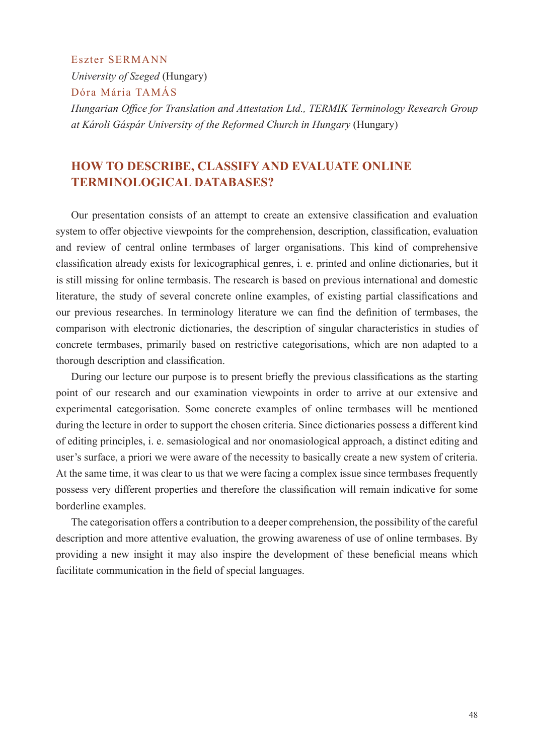Eszter SERMANN

*University of Szeged* (Hungary)

Dóra Mária TAMÁS

*Hungarian Office for Translation and Attestation Ltd., TERMIK Terminology Research Group at Károli Gáspár University of the Reformed Church in Hungary* (Hungary)

## **HOW TO DESCRIBE, CLASSIFY AND EVALUATE ONLINE TERMINOLOGICAL DATABASES?**

Our presentation consists of an attempt to create an extensive classification and evaluation system to offer objective viewpoints for the comprehension, description, classification, evaluation and review of central online termbases of larger organisations. This kind of comprehensive classification already exists for lexicographical genres, i. e. printed and online dictionaries, but it is still missing for online termbasis. The research is based on previous international and domestic literature, the study of several concrete online examples, of existing partial classifications and our previous researches. In terminology literature we can find the definition of termbases, the comparison with electronic dictionaries, the description of singular characteristics in studies of concrete termbases, primarily based on restrictive categorisations, which are non adapted to a thorough description and classification.

During our lecture our purpose is to present briefly the previous classifications as the starting point of our research and our examination viewpoints in order to arrive at our extensive and experimental categorisation. Some concrete examples of online termbases will be mentioned during the lecture in order to support the chosen criteria. Since dictionaries possess a different kind of editing principles, i. e. semasiological and nor onomasiological approach, a distinct editing and user's surface, a priori we were aware of the necessity to basically create a new system of criteria. At the same time, it was clear to us that we were facing a complex issue since termbases frequently possess very different properties and therefore the classification will remain indicative for some borderline examples.

The categorisation offers a contribution to a deeper comprehension, the possibility of the careful description and more attentive evaluation, the growing awareness of use of online termbases. By providing a new insight it may also inspire the development of these beneficial means which facilitate communication in the field of special languages.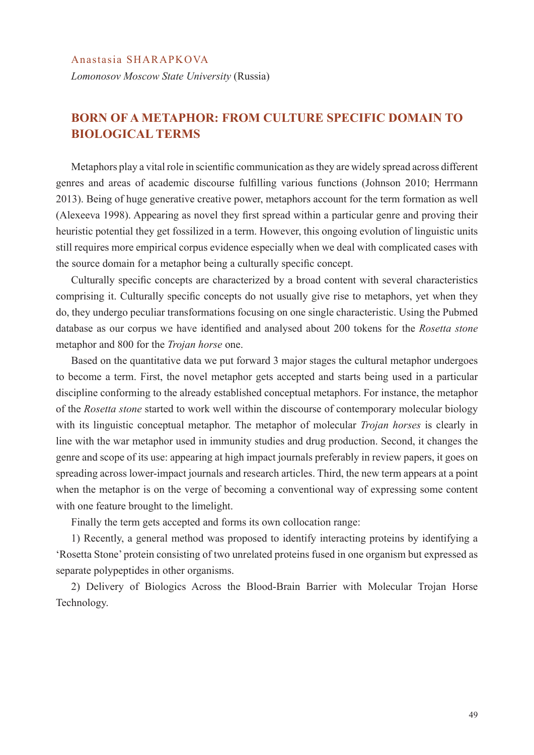*Lomonosov Moscow State University* (Russia)

## **BORN OF A METAPHOR: FROM CULTURE SPECIFIC DOMAIN TO BIOLOGICAL TERMS**

Metaphors play a vital role in scientific communication as they are widely spread across different genres and areas of academic discourse fulfilling various functions (Johnson 2010; Herrmann 2013). Being of huge generative creative power, metaphors account for the term formation as well (Alexeeva 1998). Appearing as novel they first spread within a particular genre and proving their heuristic potential they get fossilized in a term. However, this ongoing evolution of linguistic units still requires more empirical corpus evidence especially when we deal with complicated cases with the source domain for a metaphor being a culturally specific concept.

Culturally specific concepts are characterized by a broad content with several characteristics comprising it. Culturally specific concepts do not usually give rise to metaphors, yet when they do, they undergo peculiar transformations focusing on one single characteristic. Using the Pubmed database as our corpus we have identified and analysed about 200 tokens for the *Rosetta stone* metaphor and 800 for the *Trojan horse* one.

Based on the quantitative data we put forward 3 major stages the cultural metaphor undergoes to become a term. First, the novel metaphor gets accepted and starts being used in a particular discipline conforming to the already established conceptual metaphors. For instance, the metaphor of the *Rosetta stone* started to work well within the discourse of contemporary molecular biology with its linguistic conceptual metaphor. The metaphor of molecular *Trojan horses* is clearly in line with the war metaphor used in immunity studies and drug production. Second, it changes the genre and scope of its use: appearing at high impact journals preferably in review papers, it goes on spreading across lower-impact journals and research articles. Third, the new term appears at a point when the metaphor is on the verge of becoming a conventional way of expressing some content with one feature brought to the limelight.

Finally the term gets accepted and forms its own collocation range:

1) Recently, a general method was proposed to identify interacting proteins by identifying a 'Rosetta Stone' protein consisting of two unrelated proteins fused in one organism but expressed as separate polypeptides in other organisms.

2) Delivery of Biologics Across the Blood-Brain Barrier with Molecular Trojan Horse Technology.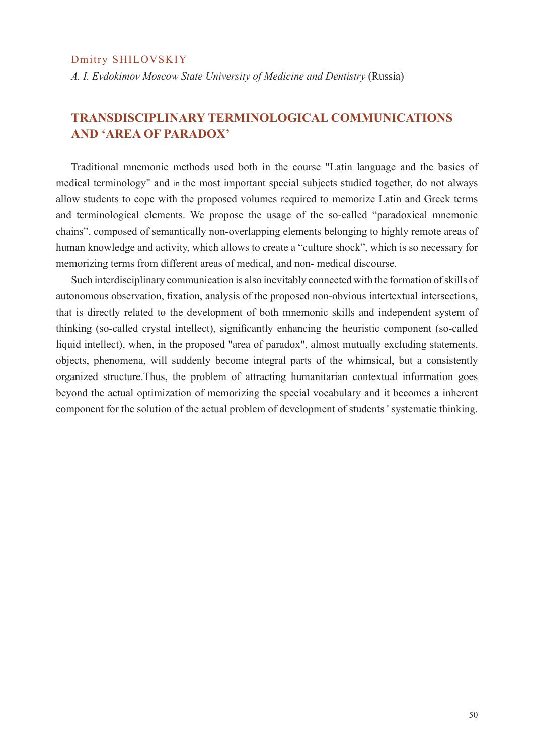#### Dmitry SHILOVSKIY

*A. I. Evdokimov Moscow State University of Medicine and Dentistry* (Russia)

## **TRANSDISCIPLINARY TERMINOLOGICAL COMMUNICATIONS AND 'AREA OF PARADOX'**

Traditional mnemonic methods used both in the course "Latin language and the basics of medical terminology" and in the most important special subjects studied together, do not always allow students to cope with the proposed volumes required to memorize Latin and Greek terms and terminological elements. We propose the usage of the so-called "paradoxical mnemonic chains", composed of semantically non-overlapping elements belonging to highly remote areas of human knowledge and activity, which allows to create a "culture shock", which is so necessary for memorizing terms from different areas of medical, and non- medical discourse.

Such interdisciplinary communication is also inevitably connected with the formation of skills of autonomous observation, fixation, analysis of the proposed non-obvious intertextual intersections, that is directly related to the development of both mnemonic skills and independent system of thinking (so-called crystal intellect), significantly enhancing the heuristic component (so-called liquid intellect), when, in the proposed "area of paradox", almost mutually excluding statements, objects, phenomena, will suddenly become integral parts of the whimsical, but a consistently organized structure.Thus, the problem of attracting humanitarian contextual information goes beyond the actual optimization of memorizing the special vocabulary and it becomes a inherent component for the solution of the actual problem of development of students ' systematic thinking.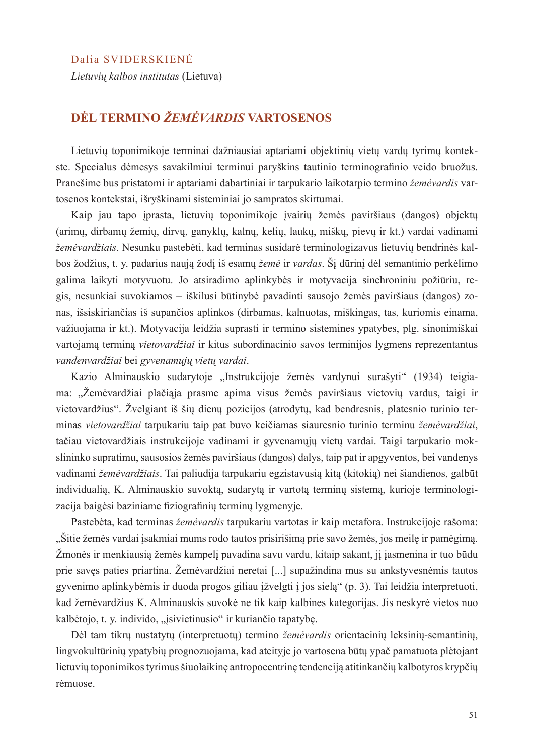#### Dalia SVIDERSKIENĖ

*Lietuvių kalbos institutas* (Lietuva)

## **DĖL TERMINO** *ŽEMĖVARDIS* **VARTOSENOS**

Lietuvių toponimikoje terminai dažniausiai aptariami objektinių vietų vardų tyrimų kontekste. Specialus dėmesys savakilmiui terminui paryškins tautinio terminografinio veido bruožus. Pranešime bus pristatomi ir aptariami dabartiniai ir tarpukario laikotarpio termino *žemėvardis* vartosenos kontekstai, išryškinami sisteminiai jo sampratos skirtumai.

Kaip jau tapo įprasta, lietuvių toponimikoje įvairių žemės paviršiaus (dangos) objektų (arimų, dirbamų žemių, dirvų, ganyklų, kalnų, kelių, laukų, miškų, pievų ir kt.) vardai vadinami *žemėvardžiais*. Nesunku pastebėti, kad terminas susidarė terminologizavus lietuvių bendrinės kalbos žodžius, t. y. padarius naują žodį iš esamų *žemė* ir *vardas*. Šį dūrinį dėl semantinio perkėlimo galima laikyti motyvuotu. Jo atsiradimo aplinkybės ir motyvacija sinchroniniu požiūriu, regis, nesunkiai suvokiamos – iškilusi būtinybė pavadinti sausojo žemės paviršiaus (dangos) zonas, išsiskiriančias iš supančios aplinkos (dirbamas, kalnuotas, miškingas, tas, kuriomis einama, važiuojama ir kt.). Motyvacija leidžia suprasti ir termino sistemines ypatybes, plg. sinonimiškai vartojamą terminą *vietovardžiai* ir kitus subordinacinio savos terminijos lygmens reprezentantus *vandenvardžiai* bei *gyvenamųjų vietų vardai*.

Kazio Alminauskio sudarytoje "Instrukcijoje žemės vardynui surašyti" (1934) teigiama: "Žemėvardžiai plačiąja prasme apima visus žemės paviršiaus vietovių vardus, taigi ir vietovardžius". Žvelgiant iš šių dienų pozicijos (atrodytų, kad bendresnis, platesnio turinio terminas *vietovardžiai* tarpukariu taip pat buvo keičiamas siauresnio turinio terminu *žemėvardžiai*, tačiau vietovardžiais instrukcijoje vadinami ir gyvenamųjų vietų vardai. Taigi tarpukario mokslininko supratimu, sausosios žemės paviršiaus (dangos) dalys, taip pat ir apgyventos, bei vandenys vadinami *žemėvardžiais*. Tai paliudija tarpukariu egzistavusią kitą (kitokią) nei šiandienos, galbūt individualią, K. Alminauskio suvoktą, sudarytą ir vartotą terminų sistemą, kurioje terminologizacija baigėsi baziniame fiziografinių terminų lygmenyje.

Pastebėta, kad terminas *žemėvardis* tarpukariu vartotas ir kaip metafora. Instrukcijoje rašoma: "Šitie žemės vardai įsakmiai mums rodo tautos prisirišimą prie savo žemės, jos meilę ir pamėgimą. Žmonės ir menkiausią žemės kampelį pavadina savu vardu, kitaip sakant, jį įasmenina ir tuo būdu prie savęs paties priartina. Žemėvardžiai neretai [...] supažindina mus su ankstyvesnėmis tautos gyvenimo aplinkybėmis ir duoda progos giliau įžvelgti į jos sielą" (p. 3). Tai leidžia interpretuoti, kad žemėvardžius K. Alminauskis suvokė ne tik kaip kalbines kategorijas. Jis neskyrė vietos nuo kalbėtojo, t. y. individo, "isivietinusio" ir kuriančio tapatybę.

Dėl tam tikrų nustatytų (interpretuotų) termino *žemėvardis* orientacinių leksinių-semantinių, lingvokultūrinių ypatybių prognozuojama, kad ateityje jo vartosena būtų ypač pamatuota plėtojant lietuvių toponimikos tyrimus šiuolaikinę antropocentrinę tendenciją atitinkančių kalbotyros krypčių rėmuose.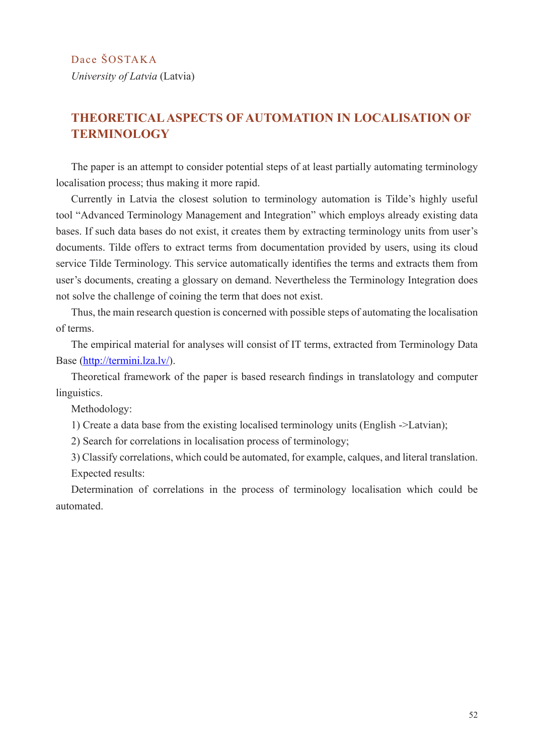## **THEORETICAL ASPECTS OF AUTOMATION IN LOCALISATION OF TERMINOLOGY**

The paper is an attempt to consider potential steps of at least partially automating terminology localisation process; thus making it more rapid.

Currently in Latvia the closest solution to terminology automation is Tilde's highly useful tool "Advanced Terminology Management and Integration" which employs already existing data bases. If such data bases do not exist, it creates them by extracting terminology units from user's documents. Tilde offers to extract terms from documentation provided by users, using its cloud service Tilde Terminology. This service automatically identifies the terms and extracts them from user's documents, creating a glossary on demand. Nevertheless the Terminology Integration does not solve the challenge of coining the term that does not exist.

Thus, the main research question is concerned with possible steps of automating the localisation of terms.

The empirical material for analyses will consist of IT terms, extracted from Terminology Data Base (http://termini.lza.lv/).

Theoretical framework of the paper is based research findings in translatology and computer linguistics.

Methodology:

1) Create a data base from the existing localised terminology units (English ->Latvian);

2) Search for correlations in localisation process of terminology;

3) Classify correlations, which could be automated, for example, calques, and literal translation. Expected results:

Determination of correlations in the process of terminology localisation which could be automated.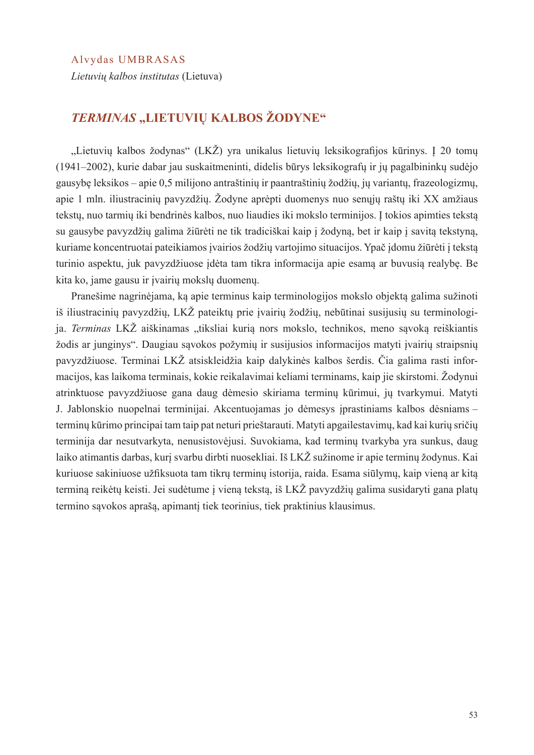#### Alvydas UMBRASAS

*Lietuvių kalbos institutas* (Lietuva)

## *TERMINAS* **"LIETUVIŲ KALBOS ŽODYNE"**

"Lietuvių kalbos žodynas" (LKŽ) yra unikalus lietuvių leksikografijos kūrinys. Į 20 tomų (1941–2002), kurie dabar jau suskaitmeninti, didelis būrys leksikografų ir jų pagalbininkų sudėjo gausybę leksikos – apie 0,5 milijono antraštinių ir paantraštinių žodžių, jų variantų, frazeologizmų, apie 1 mln. iliustracinių pavyzdžių. Žodyne aprėpti duomenys nuo senųjų raštų iki XX amžiaus tekstų, nuo tarmių iki bendrinės kalbos, nuo liaudies iki mokslo terminijos. Į tokios apimties tekstą su gausybe pavyzdžių galima žiūrėti ne tik tradiciškai kaip į žodyną, bet ir kaip į savitą tekstyną, kuriame koncentruotai pateikiamos įvairios žodžių vartojimo situacijos. Ypač įdomu žiūrėti į tekstą turinio aspektu, juk pavyzdžiuose įdėta tam tikra informacija apie esamą ar buvusią realybę. Be kita ko, jame gausu ir įvairių mokslų duomenų.

Pranešime nagrinėjama, ką apie terminus kaip terminologijos mokslo objektą galima sužinoti iš iliustracinių pavyzdžių, LKŽ pateiktų prie įvairių žodžių, nebūtinai susijusių su terminologija. *Terminas* LKŽ aiškinamas "tiksliai kurią nors mokslo, technikos, meno sąvoką reiškiantis žodis ar junginys". Daugiau sąvokos požymių ir susijusios informacijos matyti įvairių straipsnių pavyzdžiuose. Terminai LKŽ atsiskleidžia kaip dalykinės kalbos šerdis. Čia galima rasti informacijos, kas laikoma terminais, kokie reikalavimai keliami terminams, kaip jie skirstomi. Žodynui atrinktuose pavyzdžiuose gana daug dėmesio skiriama terminų kūrimui, jų tvarkymui. Matyti J. Jablonskio nuopelnai terminijai. Akcentuojamas jo dėmesys įprastiniams kalbos dėsniams – terminų kūrimo principai tam taip pat neturi prieštarauti. Matyti apgailestavimų, kad kai kurių sričių terminija dar nesutvarkyta, nenusistovėjusi. Suvokiama, kad terminų tvarkyba yra sunkus, daug laiko atimantis darbas, kurį svarbu dirbti nuosekliai. Iš LKŽ sužinome ir apie terminų žodynus. Kai kuriuose sakiniuose užfiksuota tam tikrų terminų istorija, raida. Esama siūlymų, kaip vieną ar kitą terminą reikėtų keisti. Jei sudėtume į vieną tekstą, iš LKŽ pavyzdžių galima susidaryti gana platų termino sąvokos aprašą, apimantį tiek teorinius, tiek praktinius klausimus.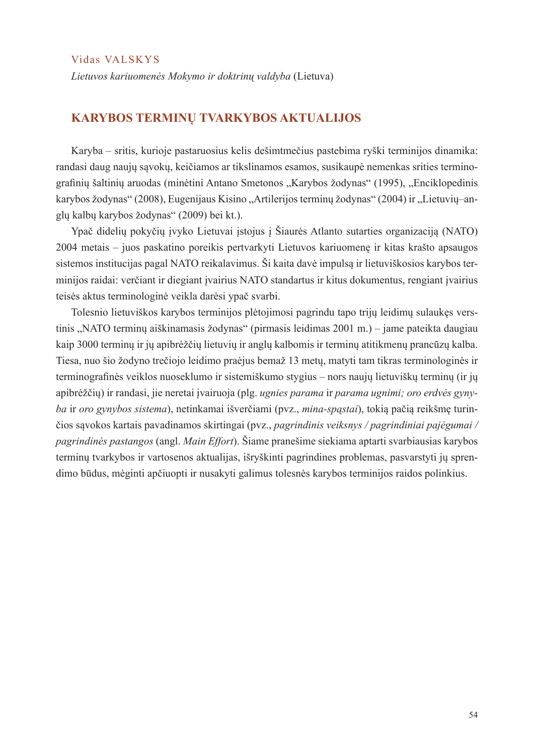Vidas VALSKYS

*Lietuvos kariuomenės Mokymo ir doktrinų valdyba* (Lietuva)

#### **KARYBOS TERMINŲ TVARKYBOS AKTUALIJOS**

Karyba – sritis, kurioje pastaruosius kelis dešimtmečius pastebima ryški terminijos dinamika: randasi daug naujų sąvokų, keičiamos ar tikslinamos esamos, susikaupė nemenkas srities terminografinių šaltinių aruodas (minėtini Antano Smetonos "Karybos žodynas" (1995), "Enciklopedinis karybos žodynas" (2008), Eugenijaus Kisino "Artilerijos terminų žodynas" (2004) ir "Lietuvių–anglų kalbų karybos žodynas" (2009) bei kt.).

Ypač didelių pokyčių įvyko Lietuvai įstojus į Šiaurės Atlanto sutarties organizaciją (NATO) 2004 metais – juos paskatino poreikis pertvarkyti Lietuvos kariuomenę ir kitas krašto apsaugos sistemos institucijas pagal NATO reikalavimus. Ši kaita davė impulsą ir lietuviškosios karybos terminijos raidai: verčiant ir diegiant įvairius NATO standartus ir kitus dokumentus, rengiant įvairius teisės aktus terminologinė veikla darėsi ypač svarbi.

Tolesnio lietuviškos karybos terminijos plėtojimosi pagrindu tapo trijų leidimų sulaukęs verstinis "NATO terminų aiškinamasis žodynas" (pirmasis leidimas 2001 m.) – jame pateikta daugiau kaip 3000 terminų ir jų apibrėžčių lietuvių ir anglų kalbomis ir terminų atitikmenų prancūzų kalba. Tiesa, nuo šio žodyno trečiojo leidimo praėjus bemaž 13 metų, matyti tam tikras terminologinės ir terminografinės veiklos nuoseklumo ir sistemiškumo stygius – nors naujų lietuviškų terminų (ir jų apibrėžčių) ir randasi, jie neretai įvairuoja (plg. *ugnies parama* ir *parama ugnimi; oro erdvės gynyba* ir *oro gynybos sistema*), netinkamai išverčiami (pvz., *mina-spąstai*), tokią pačią reikšmę turinčios sąvokos kartais pavadinamos skirtingai (pvz., *pagrindinis veiksnys / pagrindiniai pajėgumai / pagrindinės pastangos* (angl. *Main Effort*). Šiame pranešime siekiama aptarti svarbiausias karybos terminų tvarkybos ir vartosenos aktualijas, išryškinti pagrindines problemas, pasvarstyti jų sprendimo būdus, mėginti apčiuopti ir nusakyti galimus tolesnės karybos terminijos raidos polinkius.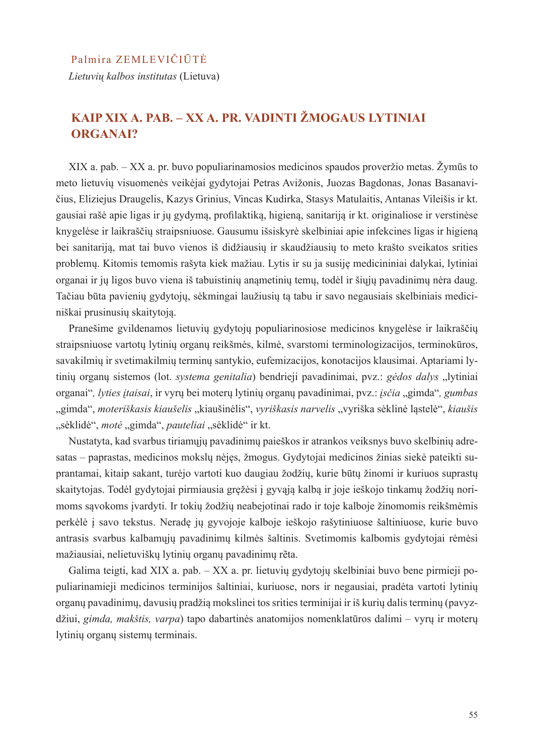*Lietuvių kalbos institutas* (Lietuva)

## **KAIP XIX A. PAB. – XX A. PR. VADINTI ŽMOGAUS LYTINIAI ORGANAI?**

XIX a. pab. – XX a. pr. buvo populiarinamosios medicinos spaudos proveržio metas. Žymūs to meto lietuvių visuomenės veikėjai gydytojai Petras Avižonis, Juozas Bagdonas, Jonas Basanavičius, Eliziejus Draugelis, Kazys Grinius, Vincas Kudirka, Stasys Matulaitis, Antanas Vileišis ir kt. gausiai rašė apie ligas ir jų gydymą, profilaktiką, higieną, sanitariją ir kt. originaliose ir verstinėse knygelėse ir laikraščių straipsniuose. Gausumu išsiskyrė skelbiniai apie infekcines ligas ir higieną bei sanitariją, mat tai buvo vienos iš didžiausių ir skaudžiausių to meto krašto sveikatos srities problemų. Kitomis temomis rašyta kiek mažiau. Lytis ir su ja susiję medicininiai dalykai, lytiniai organai ir jų ligos buvo viena iš tabuistinių anąmetinių temų, todėl ir šiųjų pavadinimų nėra daug. Tačiau būta pavienių gydytojų, sėkmingai laužiusių tą tabu ir savo negausiais skelbiniais mediciniškai prusinusių skaitytoją.

Pranešime gvildenamos lietuvių gydytojų populiarinosiose medicinos knygelėse ir laikraščių straipsniuose vartotų lytinių organų reikšmės, kilmė, svarstomi terminologizacijos, terminokūros, savakilmių ir svetimakilmių terminų santykio, eufemizacijos, konotacijos klausimai. Aptariami lytinių organų sistemos (lot. *systema genitalia*) bendrieji pavadinimai, pvz.: *gėdos dalys* "lytiniai organai", lyties įtaisai, ir vyrų bei moterų lytinių organų pavadinimai, pvz.: įsčia "gimda", gumbas "gimda", moteriškasis kiaušelis "kiaušinėlis", vyriškasis narvelis "vyriška sėklinė ląstelė", kiaušis "sėklidė", motė "gimda", pauteliai "sėklidė" ir kt.

Nustatyta, kad svarbus tiriamųjų pavadinimų paieškos ir atrankos veiksnys buvo skelbinių adresatas – paprastas, medicinos mokslų nėjęs, žmogus. Gydytojai medicinos žinias siekė pateikti suprantamai, kitaip sakant, turėjo vartoti kuo daugiau žodžių, kurie būtų žinomi ir kuriuos suprastų skaitytojas. Todėl gydytojai pirmiausia gręžėsi į gyvąją kalbą ir joje ieškojo tinkamų žodžių norimoms sąvokoms įvardyti. Ir tokių žodžių neabejotinai rado ir toje kalboje žinomomis reikšmėmis perkėlė į savo tekstus. Neradę jų gyvojoje kalboje ieškojo rašytiniuose šaltiniuose, kurie buvo antrasis svarbus kalbamųjų pavadinimų kilmės šaltinis. Svetimomis kalbomis gydytojai rėmėsi mažiausiai, nelietuviškų lytinių organų pavadinimų rẽta.

Galima teigti, kad XIX a. pab. – XX a. pr. lietuvių gydytojų skelbiniai buvo bene pirmieji populiarinamieji medicinos terminijos šaltiniai, kuriuose, nors ir negausiai, pradėta vartoti lytinių organų pavadinimų, davusių pradžią mokslinei tos srities terminijai ir iš kurių dalis terminų (pavyzdžiui, *gimda, makštis, varpa*) tapo dabartinės anatomijos nomenklatūros dalimi – vyrų ir moterų lytinių organų sistemų terminais.